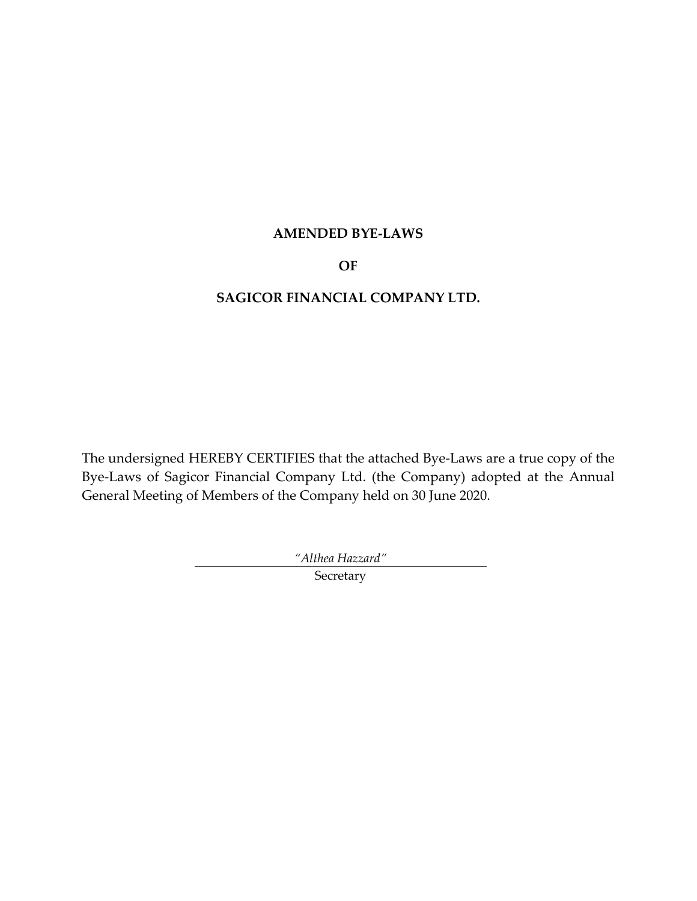# **AMENDED BYE-LAWS**

# **OF**

# **SAGICOR FINANCIAL COMPANY LTD.**

The undersigned HEREBY CERTIFIES that the attached Bye-Laws are a true copy of the Bye-Laws of Sagicor Financial Company Ltd. (the Company) adopted at the Annual General Meeting of Members of the Company held on 30 June 2020.

*"Althea Hazzard"*

Secretary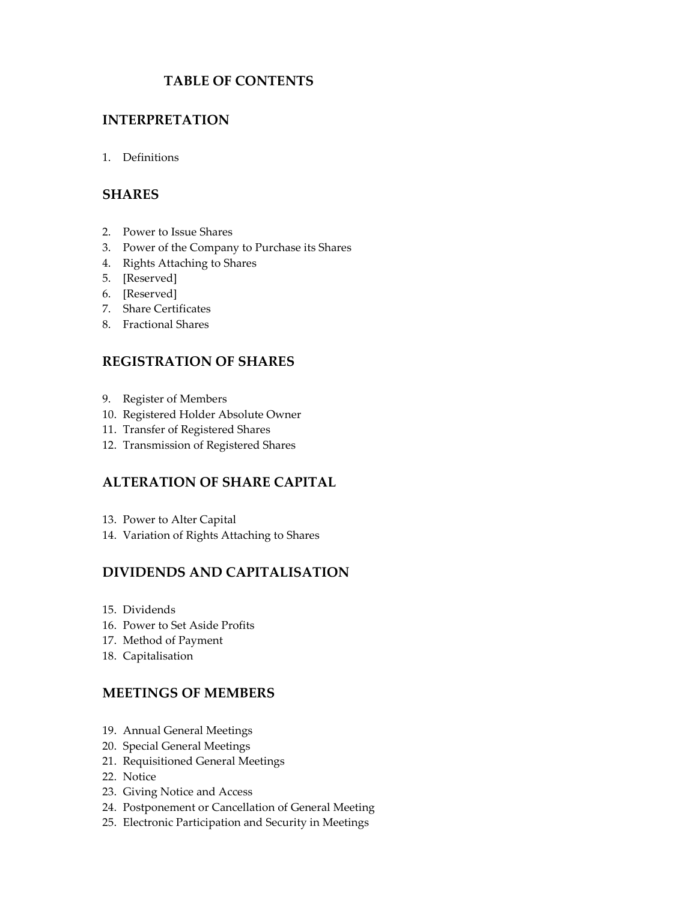# **TABLE OF CONTENTS**

## **[INTERPRETATION](#page-4-0)**

1. [Definitions](#page-4-1)

## **[SHARES](#page-6-0)**

- 2. [Power to Issue Shares](#page-6-1)
- 3. [Power of the Company to Purchase its Shares](#page-7-0)
- 4. [Rights Attaching to Shares](#page-7-1)
- 5. [\[Reserved\]](#page-9-0)
- 6. [\[Reserved\]](#page-9-1)
- 7. [Share Certificates](#page-9-2)
- 8. [Fractional Shares](#page-10-0)

## **[REGISTRATION OF SHARES](#page-10-1)**

- 9. [Register of](#page-10-2) Members
- 10. [Registered Holder Absolute Owner](#page-11-0)
- 11. [Transfer of Registered Shares](#page-11-1)
- 12. [Transmission of Registered Shares](#page-13-0)

# **[ALTERATION OF SHARE CAPITAL](#page-15-0)**

- 13. [Power to Alter Capital](#page-15-1)
- 14. [Variation of Rights Attaching to Shares](#page-15-2)

## **[DIVIDENDS AND CAPITALISATION](#page-15-3)**

- 15. [Dividends](#page-15-4)
- 16. [Power to Set Aside Profits](#page-16-0)
- 17. [Method of Payment](#page-16-1)
- 18. [Capitalisation](#page-17-0)

#### **[MEETINGS OF MEMBERS](#page-18-0)**

- 19. [Annual General Meetings](#page-18-1)
- 20. [Special General Meetings](#page-18-2)
- 21. [Requisitioned General Meetings](#page-18-3)
- 22. [Notice](#page-18-4)
- 23. [Giving Notice and Access](#page-20-0)
- 24. [Postponement or Cancellation of General Meeting](#page-21-0)
- 25. [Electronic Participation and Security in Meetings](#page-21-1)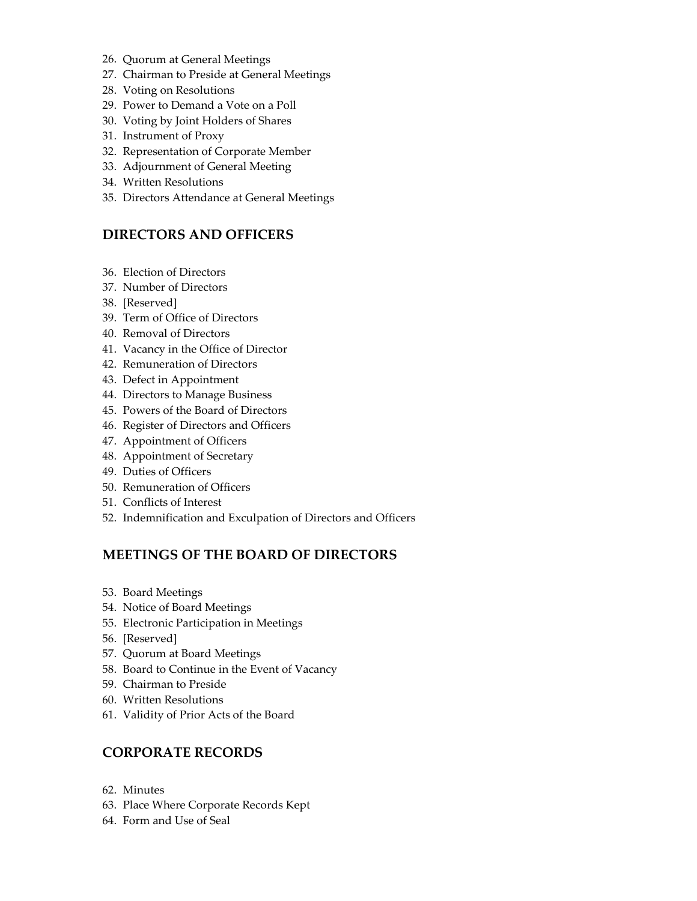- 26. [Quorum at General Meetings](#page-22-0)
- 27. [Chairman to Preside at General Meetings](#page-22-1)
- 28. [Voting on Resolutions](#page-22-2)
- 29. [Power to Demand a Vote on a Poll](#page-23-0)
- 30. [Voting by Joint Holders of Shares](#page-24-0)
- 31. [Instrument of Proxy](#page-24-1)
- 32. [Representation of Corporate Member](#page-25-0)
- 33. [Adjournment of General Meeting](#page-26-0)
- 34. [Written Resolutions](#page-26-1)
- 35. [Directors Attendance at General Meetings](#page-27-0)

# **[DIRECTORS AND OFFICERS](#page-27-1)**

- 36. [Election of Directors](#page-27-2)
- 37. Number [of Directors](#page-29-0)
- 38. [\[Reserved\]](#page-29-1)
- 39. [Term of Office of Directors](#page-29-2)
- 40. [Removal of Directors](#page-29-3)
- 41. [Vacancy in the Office of Director](#page-29-4)
- 42. [Remuneration of Directors](#page-30-0)
- 43. [Defect in Appointment](#page-31-0)
- 44. [Directors to Manage Business](#page-31-1)
- 45. [Powers of the Board of Directors](#page-31-2)
- 46. [Register of Directors and Officers](#page-33-0)
- 47. [Appointment of Officers](#page-33-1)
- 48. [Appointment of Secretary](#page-34-0)
- 49. [Duties of Officers](#page-34-1)
- 50. [Remuneration of Officers](#page-34-2)
- 51. [Conflicts of Interest](#page-34-3)
- 52. [Indemnification and Exculpation of Directors and Officers](#page-35-0)

# **[MEETINGS OF THE BOARD OF DIRECTORS](#page-36-0)**

- 53. [Board Meetings](#page-36-1)
- 54. [Notice of Board Meetings](#page-36-2)
- 55. [Electronic Participation in Meetings](#page-36-3)
- 56. [\[Reserved\]](#page-37-0)
- 57. [Quorum at Board Meetings](#page-37-1)
- 58. [Board to Continue in the Event of Vacancy](#page-37-2)
- 59. [Chairman to Preside](#page-37-3)
- 60. [Written Resolutions](#page-37-4)
- 61. [Validity of Prior Acts of the Board](#page-37-5)

## **[CORPORATE RECORDS](#page-38-0)**

- 62. [Minutes](#page-38-1)
- 63. [Place Where Corporate Records Kept](#page-38-2)
- 64. [Form and Use of Seal](#page-38-3)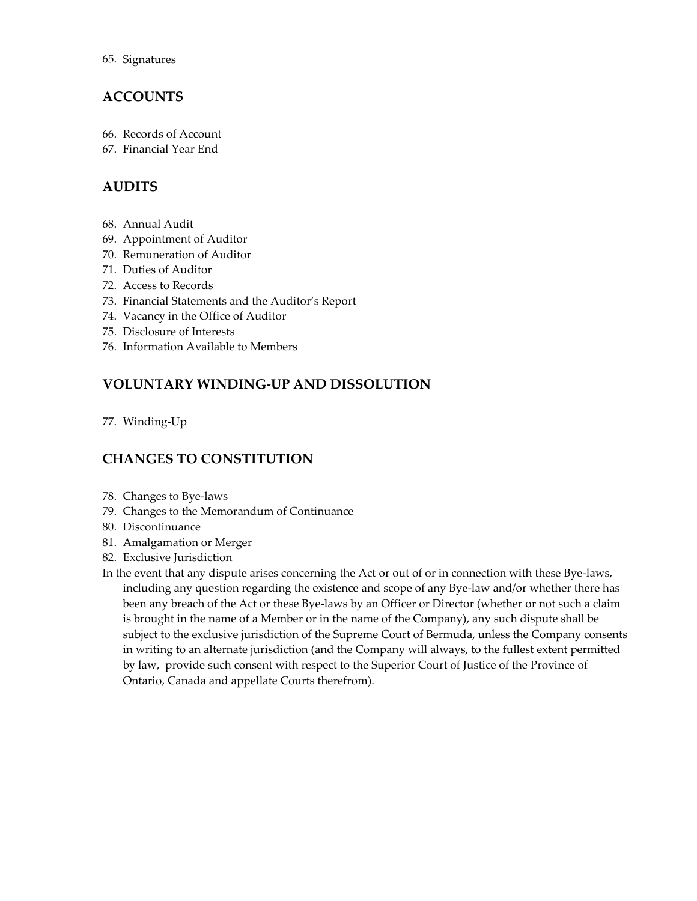# **[ACCOUNTS](#page-39-0)**

- 66. [Records of Account](#page-39-1)
- 67. [Financial Year End](#page-39-2)

# **[AUDITS](#page-39-3)**

- 68. [Annual Audit](#page-39-4)
- 69. [Appointment of Auditor](#page-39-5)
- 70. [Remuneration of Auditor](#page-40-0)
- 71. [Duties of Auditor](#page-40-1)
- 72. [Access to Records](#page-40-2)
- 73. [Financial Statements and the Auditor's Report](#page-40-3)
- 74. [Vacancy in the Office of Auditor](#page-41-0)
- 75. [Disclosure of Interests](#page-41-1)
- 76. [Information Available to Members](#page-41-2)

# **[VOLUNTARY WINDING-UP AND DISSOLUTION](#page-42-0)**

77. [Winding-Up](#page-42-1)

# **[CHANGES TO CONSTITUTION](#page-42-2)**

- 78. [Changes to Bye-laws](#page-42-3)
- 79. [Changes to the Memorandum of Continuance](#page-42-4)
- 80. [Discontinuance](#page-42-5)
- 81. [Amalgamation or Merger](#page-43-0)
- 82. [Exclusive Jurisdiction](#page-43-1)
- [In the event that any dispute arises concerning the Act or out of or in connection with these Bye-laws,](#page-43-2)  [including any question regarding the existence and scope of any](#page-43-2) Bye-law and/or whether there has [been any breach of the Act or these Bye-laws by an Officer or Director \(whether or not such a claim](#page-43-2)  [is brought in the name of a Member or in the name of the Company\), any such dispute shall be](#page-43-2)  [subject to the exclusive jurisdiction of the Supreme Court of Bermuda, unless the Company consents](#page-43-2)  [in writing to an alternate jurisdiction \(and the Company will always,](#page-43-2) to the fullest extent permitted by law, [provide such consent with respect to the Superior Court of Justice of the Province of](#page-43-2)  [Ontario, Canada and appellate Courts therefrom\).](#page-43-2)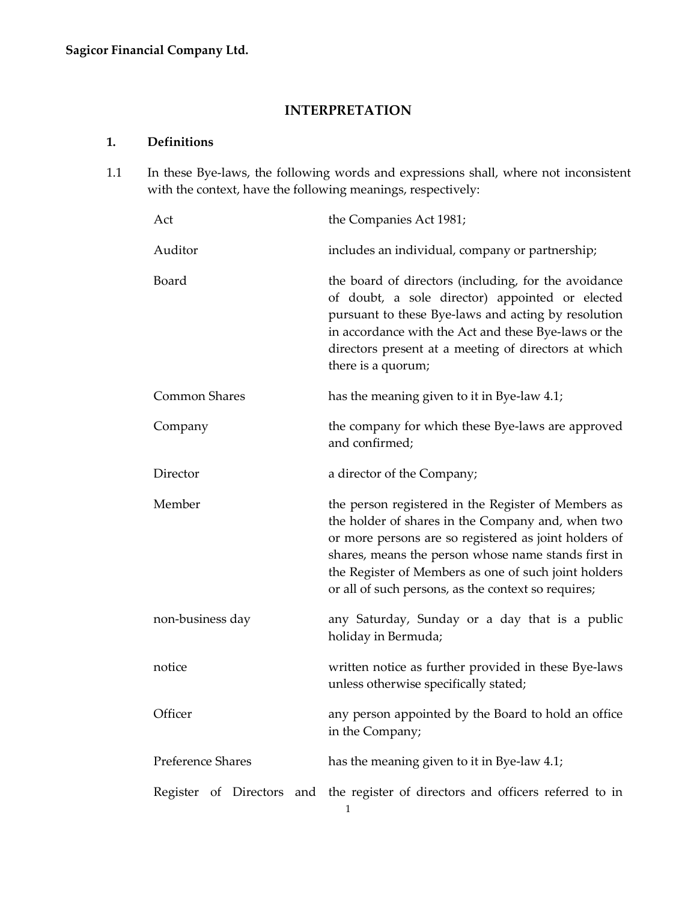# **INTERPRETATION**

# <span id="page-4-1"></span><span id="page-4-0"></span>**1. Definitions**

1.1 In these Bye-laws, the following words and expressions shall, where not inconsistent with the context, have the following meanings, respectively:

| Act                  | the Companies Act 1981;                                                                                                                                                                                                                                                                                                                 |  |
|----------------------|-----------------------------------------------------------------------------------------------------------------------------------------------------------------------------------------------------------------------------------------------------------------------------------------------------------------------------------------|--|
| Auditor              | includes an individual, company or partnership;                                                                                                                                                                                                                                                                                         |  |
| Board                | the board of directors (including, for the avoidance<br>of doubt, a sole director) appointed or elected<br>pursuant to these Bye-laws and acting by resolution<br>in accordance with the Act and these Bye-laws or the<br>directors present at a meeting of directors at which<br>there is a quorum;                                    |  |
| <b>Common Shares</b> | has the meaning given to it in Bye-law 4.1;                                                                                                                                                                                                                                                                                             |  |
| Company              | the company for which these Bye-laws are approved<br>and confirmed;                                                                                                                                                                                                                                                                     |  |
| Director             | a director of the Company;                                                                                                                                                                                                                                                                                                              |  |
| Member               | the person registered in the Register of Members as<br>the holder of shares in the Company and, when two<br>or more persons are so registered as joint holders of<br>shares, means the person whose name stands first in<br>the Register of Members as one of such joint holders<br>or all of such persons, as the context so requires; |  |
| non-business day     | any Saturday, Sunday or a day that is a public<br>holiday in Bermuda;                                                                                                                                                                                                                                                                   |  |
| notice               | written notice as further provided in these Bye-laws<br>unless otherwise specifically stated;                                                                                                                                                                                                                                           |  |
| Officer              | any person appointed by the Board to hold an office<br>in the Company;                                                                                                                                                                                                                                                                  |  |
| Preference Shares    | has the meaning given to it in Bye-law 4.1;                                                                                                                                                                                                                                                                                             |  |
|                      | Register of Directors and the register of directors and officers referred to in<br>1                                                                                                                                                                                                                                                    |  |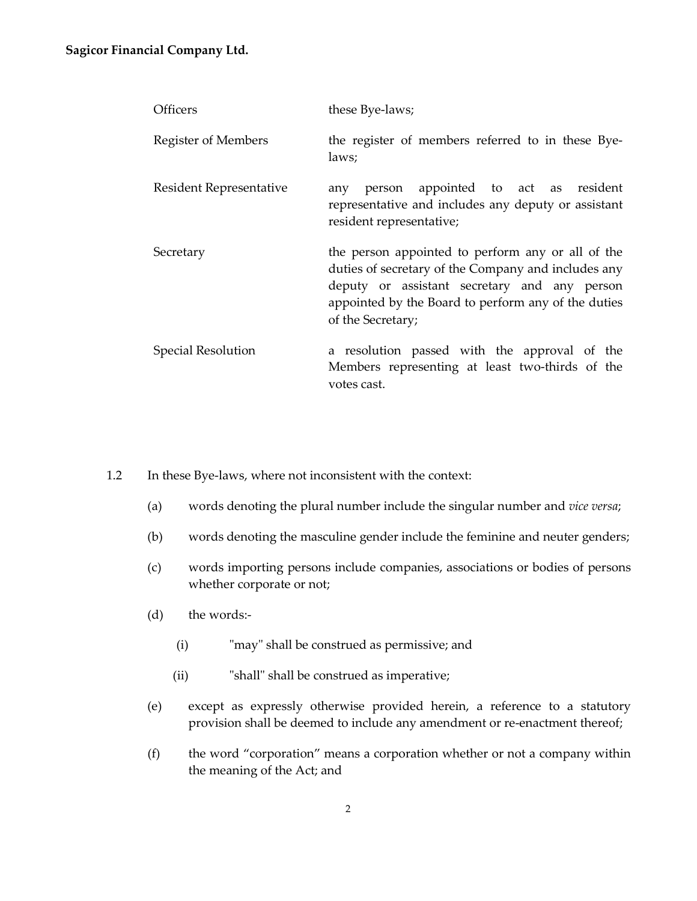#### **Sagicor Financial Company Ltd.**

| <b>Officers</b>           | these Bye-laws;                                                                                                                                                                                                                      |  |
|---------------------------|--------------------------------------------------------------------------------------------------------------------------------------------------------------------------------------------------------------------------------------|--|
| Register of Members       | the register of members referred to in these Bye-<br>laws;                                                                                                                                                                           |  |
| Resident Representative   | person appointed to act as resident<br>any<br>representative and includes any deputy or assistant<br>resident representative;                                                                                                        |  |
| Secretary                 | the person appointed to perform any or all of the<br>duties of secretary of the Company and includes any<br>deputy or assistant secretary and any person<br>appointed by the Board to perform any of the duties<br>of the Secretary; |  |
| <b>Special Resolution</b> | a resolution passed with the approval of the<br>Members representing at least two-thirds of the<br>votes cast.                                                                                                                       |  |

1.2 In these Bye-laws, where not inconsistent with the context:

- (a) words denoting the plural number include the singular number and *vice versa*;
- (b) words denoting the masculine gender include the feminine and neuter genders;
- (c) words importing persons include companies, associations or bodies of persons whether corporate or not;
- (d) the words:-
	- (i) "may" shall be construed as permissive; and
	- (ii) "shall" shall be construed as imperative;
- (e) except as expressly otherwise provided herein, a reference to a statutory provision shall be deemed to include any amendment or re-enactment thereof;
- (f) the word "corporation" means a corporation whether or not a company within the meaning of the Act; and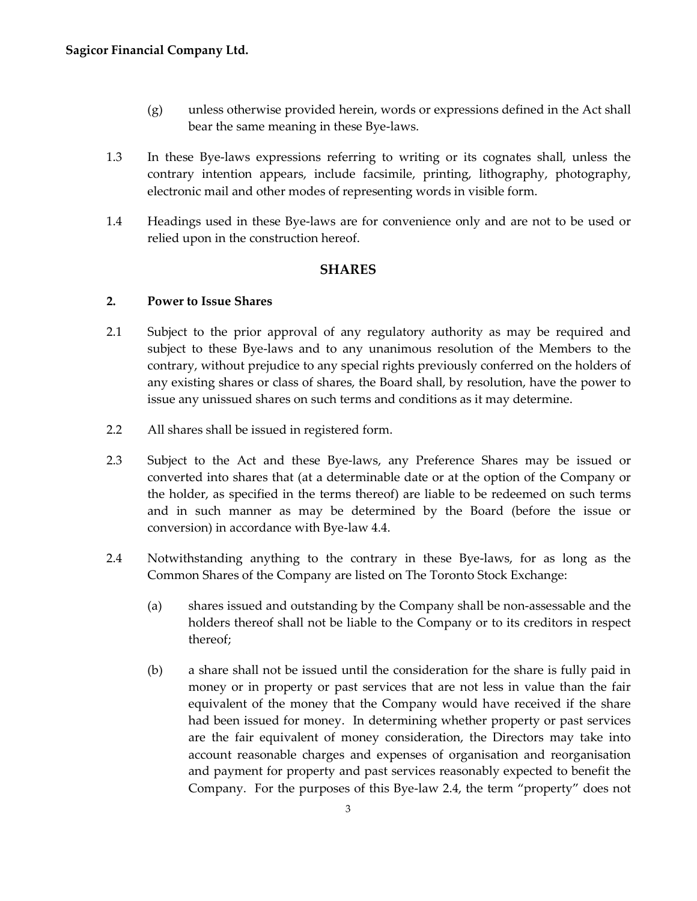- (g) unless otherwise provided herein, words or expressions defined in the Act shall bear the same meaning in these Bye-laws.
- 1.3 In these Bye-laws expressions referring to writing or its cognates shall, unless the contrary intention appears, include facsimile, printing, lithography, photography, electronic mail and other modes of representing words in visible form.
- 1.4 Headings used in these Bye-laws are for convenience only and are not to be used or relied upon in the construction hereof.

## **SHARES**

#### <span id="page-6-1"></span><span id="page-6-0"></span>**2. Power to Issue Shares**

- 2.1 Subject to the prior approval of any regulatory authority as may be required and subject to these Bye-laws and to any unanimous resolution of the Members to the contrary, without prejudice to any special rights previously conferred on the holders of any existing shares or class of shares, the Board shall, by resolution, have the power to issue any unissued shares on such terms and conditions as it may determine.
- 2.2 All shares shall be issued in registered form.
- 2.3 Subject to the Act and these Bye-laws, any Preference Shares may be issued or converted into shares that (at a determinable date or at the option of the Company or the holder, as specified in the terms thereof) are liable to be redeemed on such terms and in such manner as may be determined by the Board (before the issue or conversion) in accordance with Bye-law 4.4.
- 2.4 Notwithstanding anything to the contrary in these Bye-laws, for as long as the Common Shares of the Company are listed on The Toronto Stock Exchange:
	- (a) shares issued and outstanding by the Company shall be non-assessable and the holders thereof shall not be liable to the Company or to its creditors in respect thereof;
	- (b) a share shall not be issued until the consideration for the share is fully paid in money or in property or past services that are not less in value than the fair equivalent of the money that the Company would have received if the share had been issued for money. In determining whether property or past services are the fair equivalent of money consideration, the Directors may take into account reasonable charges and expenses of organisation and reorganisation and payment for property and past services reasonably expected to benefit the Company. For the purposes of this Bye-law 2.4, the term "property" does not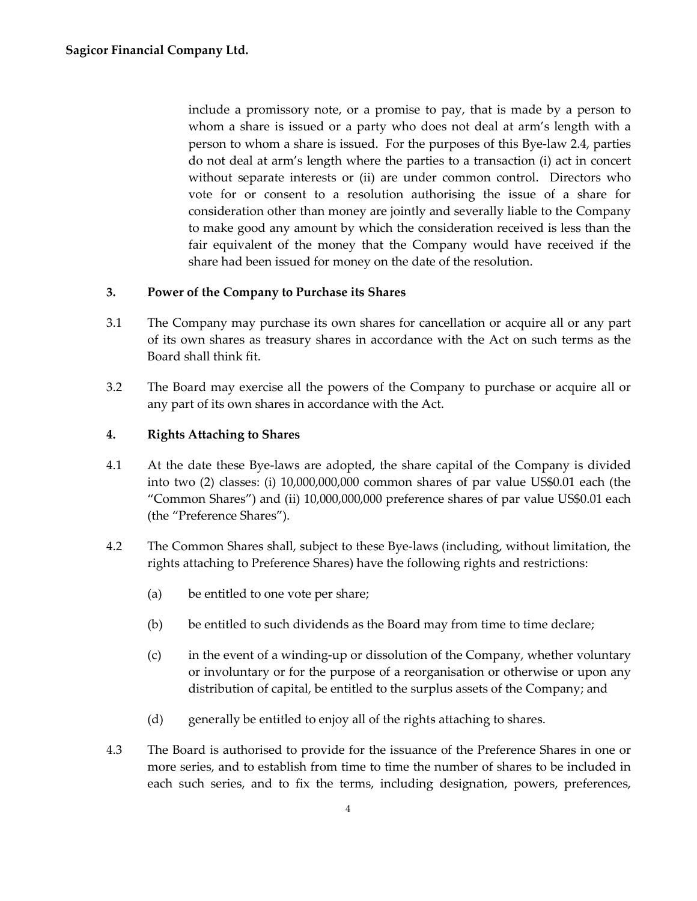include a promissory note, or a promise to pay, that is made by a person to whom a share is issued or a party who does not deal at arm's length with a person to whom a share is issued. For the purposes of this Bye-law 2.4, parties do not deal at arm's length where the parties to a transaction (i) act in concert without separate interests or (ii) are under common control. Directors who vote for or consent to a resolution authorising the issue of a share for consideration other than money are jointly and severally liable to the Company to make good any amount by which the consideration received is less than the fair equivalent of the money that the Company would have received if the share had been issued for money on the date of the resolution.

## <span id="page-7-0"></span>**3. Power of the Company to Purchase its Shares**

- 3.1 The Company may purchase its own shares for cancellation or acquire all or any part of its own shares as treasury shares in accordance with the Act on such terms as the Board shall think fit.
- 3.2 The Board may exercise all the powers of the Company to purchase or acquire all or any part of its own shares in accordance with the Act.

#### <span id="page-7-1"></span>**4. Rights Attaching to Shares**

- 4.1 At the date these Bye-laws are adopted, the share capital of the Company is divided into two (2) classes: (i) 10,000,000,000 common shares of par value US\$0.01 each (the "Common Shares") and (ii) 10,000,000,000 preference shares of par value US\$0.01 each (the "Preference Shares").
- 4.2 The Common Shares shall, subject to these Bye-laws (including, without limitation, the rights attaching to Preference Shares) have the following rights and restrictions:
	- (a) be entitled to one vote per share;
	- (b) be entitled to such dividends as the Board may from time to time declare;
	- (c) in the event of a winding-up or dissolution of the Company, whether voluntary or involuntary or for the purpose of a reorganisation or otherwise or upon any distribution of capital, be entitled to the surplus assets of the Company; and
	- (d) generally be entitled to enjoy all of the rights attaching to shares.
- 4.3 The Board is authorised to provide for the issuance of the Preference Shares in one or more series, and to establish from time to time the number of shares to be included in each such series, and to fix the terms, including designation, powers, preferences,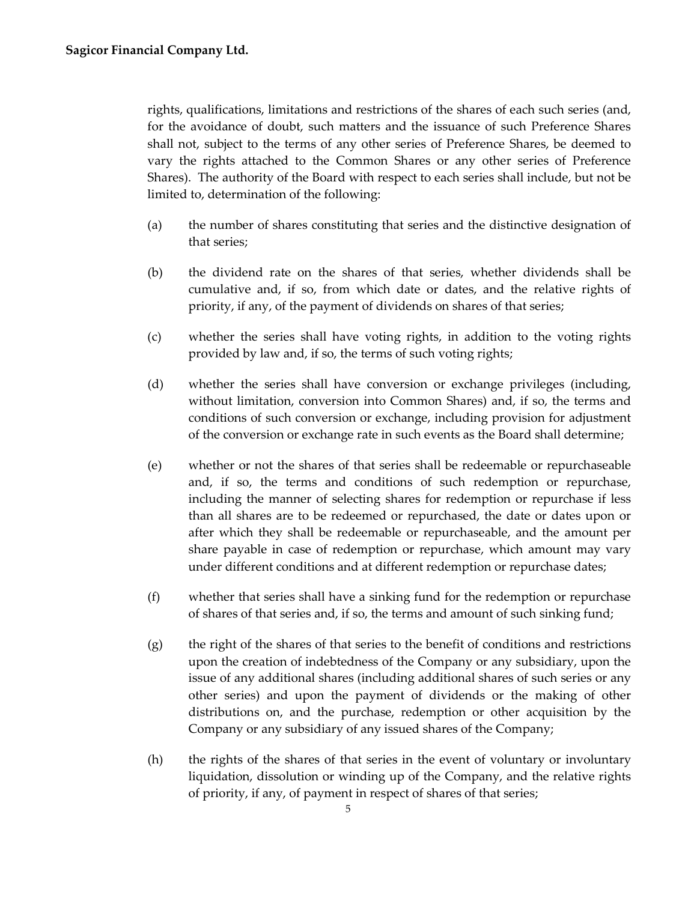rights, qualifications, limitations and restrictions of the shares of each such series (and, for the avoidance of doubt, such matters and the issuance of such Preference Shares shall not, subject to the terms of any other series of Preference Shares, be deemed to vary the rights attached to the Common Shares or any other series of Preference Shares). The authority of the Board with respect to each series shall include, but not be limited to, determination of the following:

- (a) the number of shares constituting that series and the distinctive designation of that series;
- (b) the dividend rate on the shares of that series, whether dividends shall be cumulative and, if so, from which date or dates, and the relative rights of priority, if any, of the payment of dividends on shares of that series;
- (c) whether the series shall have voting rights, in addition to the voting rights provided by law and, if so, the terms of such voting rights;
- (d) whether the series shall have conversion or exchange privileges (including, without limitation, conversion into Common Shares) and, if so, the terms and conditions of such conversion or exchange, including provision for adjustment of the conversion or exchange rate in such events as the Board shall determine;
- (e) whether or not the shares of that series shall be redeemable or repurchaseable and, if so, the terms and conditions of such redemption or repurchase, including the manner of selecting shares for redemption or repurchase if less than all shares are to be redeemed or repurchased, the date or dates upon or after which they shall be redeemable or repurchaseable, and the amount per share payable in case of redemption or repurchase, which amount may vary under different conditions and at different redemption or repurchase dates;
- (f) whether that series shall have a sinking fund for the redemption or repurchase of shares of that series and, if so, the terms and amount of such sinking fund;
- $(g)$  the right of the shares of that series to the benefit of conditions and restrictions upon the creation of indebtedness of the Company or any subsidiary, upon the issue of any additional shares (including additional shares of such series or any other series) and upon the payment of dividends or the making of other distributions on, and the purchase, redemption or other acquisition by the Company or any subsidiary of any issued shares of the Company;
- (h) the rights of the shares of that series in the event of voluntary or involuntary liquidation, dissolution or winding up of the Company, and the relative rights of priority, if any, of payment in respect of shares of that series;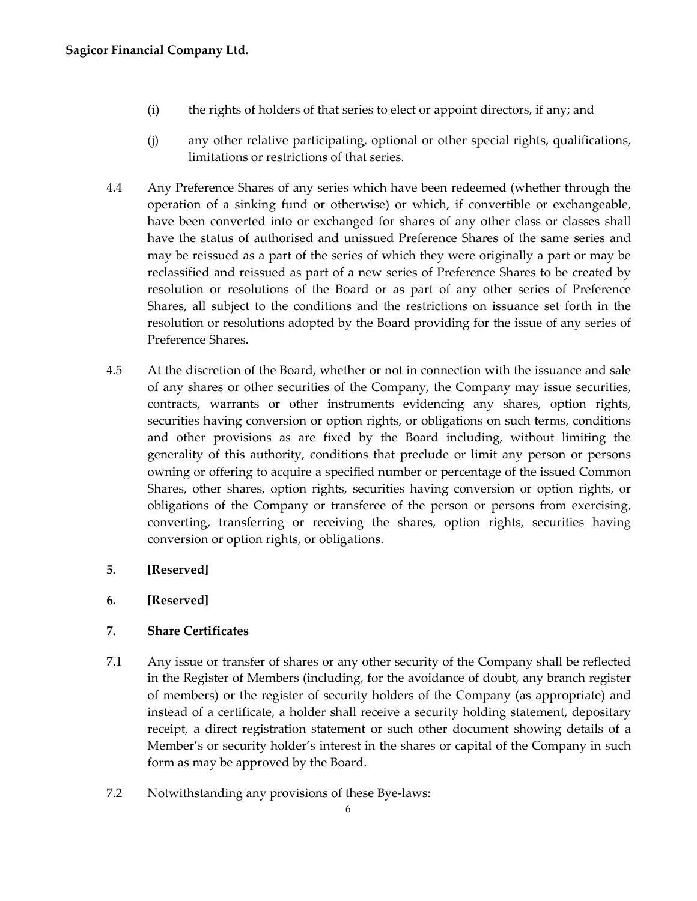- (i) the rights of holders of that series to elect or appoint directors, if any; and
- (j) any other relative participating, optional or other special rights, qualifications, limitations or restrictions of that series.
- 4.4 Any Preference Shares of any series which have been redeemed (whether through the operation of a sinking fund or otherwise) or which, if convertible or exchangeable, have been converted into or exchanged for shares of any other class or classes shall have the status of authorised and unissued Preference Shares of the same series and may be reissued as a part of the series of which they were originally a part or may be reclassified and reissued as part of a new series of Preference Shares to be created by resolution or resolutions of the Board or as part of any other series of Preference Shares, all subject to the conditions and the restrictions on issuance set forth in the resolution or resolutions adopted by the Board providing for the issue of any series of Preference Shares.
- 4.5 At the discretion of the Board, whether or not in connection with the issuance and sale of any shares or other securities of the Company, the Company may issue securities, contracts, warrants or other instruments evidencing any shares, option rights, securities having conversion or option rights, or obligations on such terms, conditions and other provisions as are fixed by the Board including, without limiting the generality of this authority, conditions that preclude or limit any person or persons owning or offering to acquire a specified number or percentage of the issued Common Shares, other shares, option rights, securities having conversion or option rights, or obligations of the Company or transferee of the person or persons from exercising, converting, transferring or receiving the shares, option rights, securities having conversion or option rights, or obligations.
- <span id="page-9-0"></span>**5. [Reserved]**
- <span id="page-9-1"></span>**6. [Reserved]**

## <span id="page-9-2"></span>**7. Share Certificates**

- 7.1 Any issue or transfer of shares or any other security of the Company shall be reflected in the Register of Members (including, for the avoidance of doubt, any branch register of members) or the register of security holders of the Company (as appropriate) and instead of a certificate, a holder shall receive a security holding statement, depositary receipt, a direct registration statement or such other document showing details of a Member's or security holder's interest in the shares or capital of the Company in such form as may be approved by the Board.
- 7.2 Notwithstanding any provisions of these Bye-laws: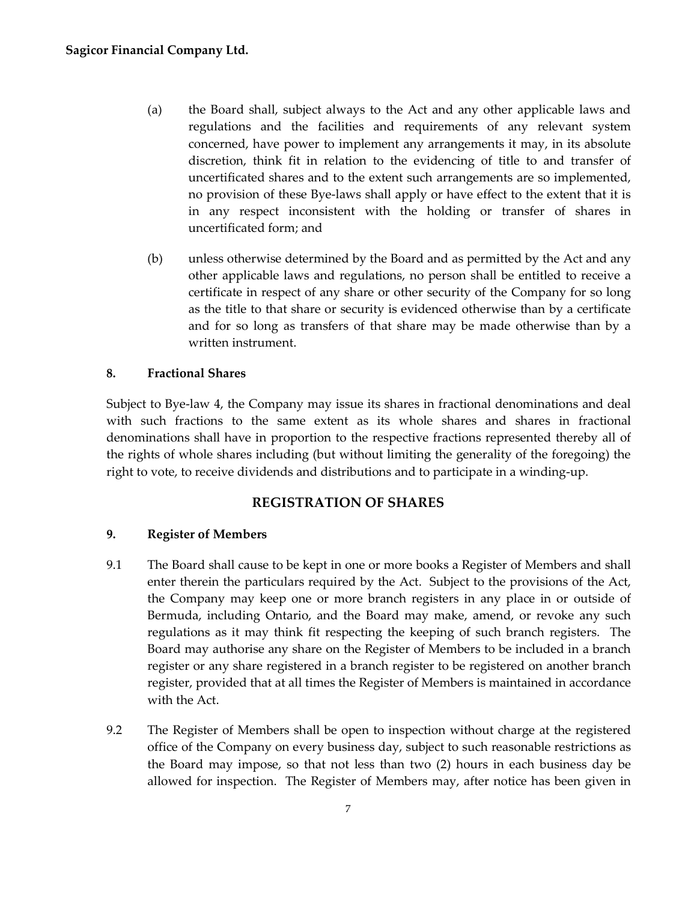- (a) the Board shall, subject always to the Act and any other applicable laws and regulations and the facilities and requirements of any relevant system concerned, have power to implement any arrangements it may, in its absolute discretion, think fit in relation to the evidencing of title to and transfer of uncertificated shares and to the extent such arrangements are so implemented, no provision of these Bye-laws shall apply or have effect to the extent that it is in any respect inconsistent with the holding or transfer of shares in uncertificated form; and
- (b) unless otherwise determined by the Board and as permitted by the Act and any other applicable laws and regulations, no person shall be entitled to receive a certificate in respect of any share or other security of the Company for so long as the title to that share or security is evidenced otherwise than by a certificate and for so long as transfers of that share may be made otherwise than by a written instrument.

# <span id="page-10-0"></span>**8. Fractional Shares**

Subject to Bye-law 4, the Company may issue its shares in fractional denominations and deal with such fractions to the same extent as its whole shares and shares in fractional denominations shall have in proportion to the respective fractions represented thereby all of the rights of whole shares including (but without limiting the generality of the foregoing) the right to vote, to receive dividends and distributions and to participate in a winding-up.

# **REGISTRATION OF SHARES**

## <span id="page-10-2"></span><span id="page-10-1"></span>**9. Register of Members**

- 9.1 The Board shall cause to be kept in one or more books a Register of Members and shall enter therein the particulars required by the Act. Subject to the provisions of the Act, the Company may keep one or more branch registers in any place in or outside of Bermuda, including Ontario, and the Board may make, amend, or revoke any such regulations as it may think fit respecting the keeping of such branch registers. The Board may authorise any share on the Register of Members to be included in a branch register or any share registered in a branch register to be registered on another branch register, provided that at all times the Register of Members is maintained in accordance with the Act.
- 9.2 The Register of Members shall be open to inspection without charge at the registered office of the Company on every business day, subject to such reasonable restrictions as the Board may impose, so that not less than two (2) hours in each business day be allowed for inspection. The Register of Members may, after notice has been given in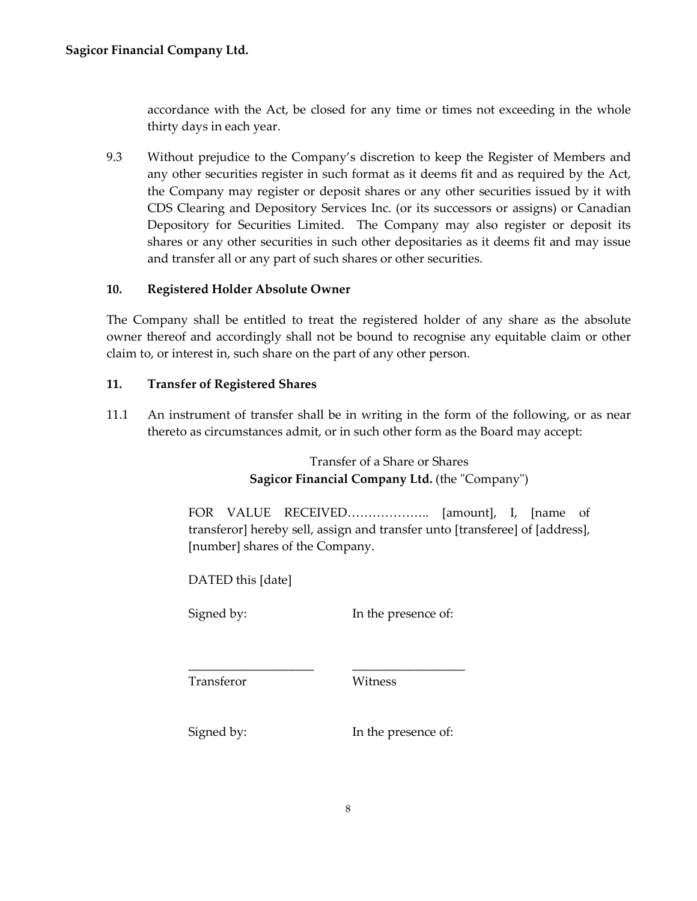accordance with the Act, be closed for any time or times not exceeding in the whole thirty days in each year.

9.3 Without prejudice to the Company's discretion to keep the Register of Members and any other securities register in such format as it deems fit and as required by the Act, the Company may register or deposit shares or any other securities issued by it with CDS Clearing and Depository Services Inc. (or its successors or assigns) or Canadian Depository for Securities Limited. The Company may also register or deposit its shares or any other securities in such other depositaries as it deems fit and may issue and transfer all or any part of such shares or other securities.

#### <span id="page-11-0"></span>**10. Registered Holder Absolute Owner**

The Company shall be entitled to treat the registered holder of any share as the absolute owner thereof and accordingly shall not be bound to recognise any equitable claim or other claim to, or interest in, such share on the part of any other person.

#### <span id="page-11-1"></span>**11. Transfer of Registered Shares**

11.1 An instrument of transfer shall be in writing in the form of the following, or as near thereto as circumstances admit, or in such other form as the Board may accept:

> Transfer of a Share or Shares **Sagicor Financial Company Ltd.** (the "Company")

FOR VALUE RECEIVED……………….. [amount], I, [name of transferor] hereby sell, assign and transfer unto [transferee] of [address], [number] shares of the Company.

DATED this [date]

Signed by: In the presence of:

Transferor Witness

Signed by: In the presence of:

\_\_\_\_\_\_\_\_\_\_\_\_\_\_\_\_\_\_\_\_ \_\_\_\_\_\_\_\_\_\_\_\_\_\_\_\_\_\_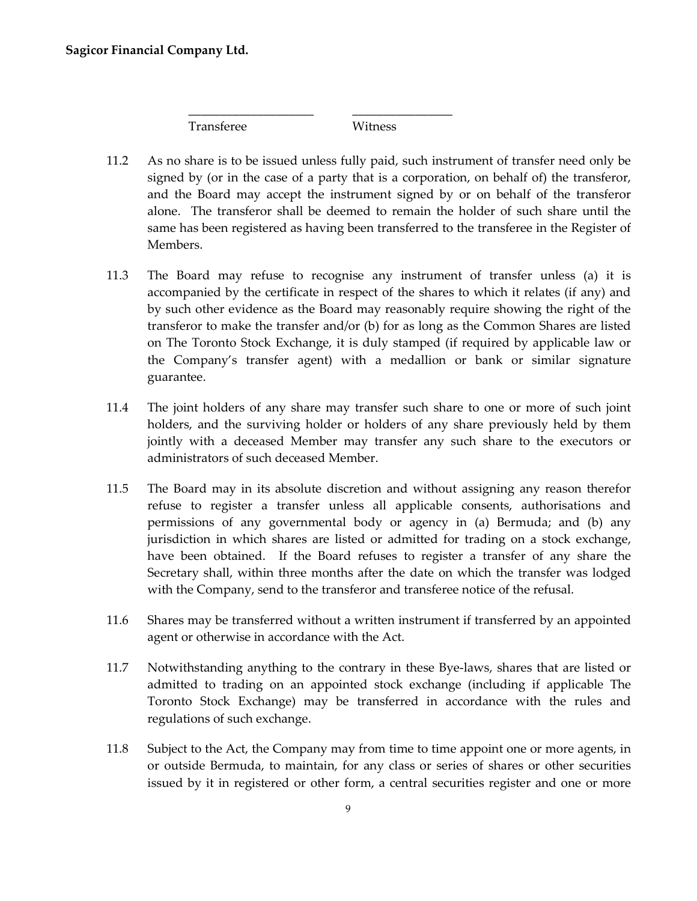Transferee Witness

\_\_\_\_\_\_\_\_\_\_\_\_\_\_\_\_\_\_\_\_ \_\_\_\_\_\_\_\_\_\_\_\_\_\_\_\_

- 11.2 As no share is to be issued unless fully paid, such instrument of transfer need only be signed by (or in the case of a party that is a corporation, on behalf of) the transferor, and the Board may accept the instrument signed by or on behalf of the transferor alone. The transferor shall be deemed to remain the holder of such share until the same has been registered as having been transferred to the transferee in the Register of Members.
- 11.3 The Board may refuse to recognise any instrument of transfer unless (a) it is accompanied by the certificate in respect of the shares to which it relates (if any) and by such other evidence as the Board may reasonably require showing the right of the transferor to make the transfer and/or (b) for as long as the Common Shares are listed on The Toronto Stock Exchange, it is duly stamped (if required by applicable law or the Company's transfer agent) with a medallion or bank or similar signature guarantee.
- 11.4 The joint holders of any share may transfer such share to one or more of such joint holders, and the surviving holder or holders of any share previously held by them jointly with a deceased Member may transfer any such share to the executors or administrators of such deceased Member.
- 11.5 The Board may in its absolute discretion and without assigning any reason therefor refuse to register a transfer unless all applicable consents, authorisations and permissions of any governmental body or agency in (a) Bermuda; and (b) any jurisdiction in which shares are listed or admitted for trading on a stock exchange, have been obtained. If the Board refuses to register a transfer of any share the Secretary shall, within three months after the date on which the transfer was lodged with the Company, send to the transferor and transferee notice of the refusal.
- 11.6 Shares may be transferred without a written instrument if transferred by an appointed agent or otherwise in accordance with the Act.
- 11.7 Notwithstanding anything to the contrary in these Bye-laws, shares that are listed or admitted to trading on an appointed stock exchange (including if applicable The Toronto Stock Exchange) may be transferred in accordance with the rules and regulations of such exchange.
- 11.8 Subject to the Act, the Company may from time to time appoint one or more agents, in or outside Bermuda, to maintain, for any class or series of shares or other securities issued by it in registered or other form, a central securities register and one or more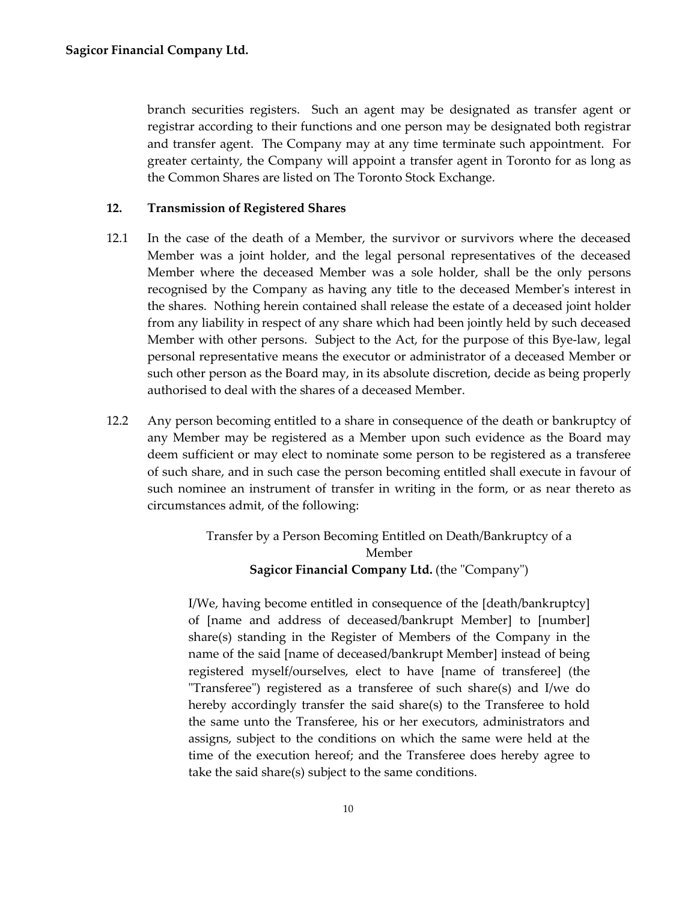branch securities registers. Such an agent may be designated as transfer agent or registrar according to their functions and one person may be designated both registrar and transfer agent. The Company may at any time terminate such appointment. For greater certainty, the Company will appoint a transfer agent in Toronto for as long as the Common Shares are listed on The Toronto Stock Exchange.

#### <span id="page-13-0"></span>**12. Transmission of Registered Shares**

- 12.1 In the case of the death of a Member, the survivor or survivors where the deceased Member was a joint holder, and the legal personal representatives of the deceased Member where the deceased Member was a sole holder, shall be the only persons recognised by the Company as having any title to the deceased Member's interest in the shares. Nothing herein contained shall release the estate of a deceased joint holder from any liability in respect of any share which had been jointly held by such deceased Member with other persons. Subject to the Act, for the purpose of this Bye-law, legal personal representative means the executor or administrator of a deceased Member or such other person as the Board may, in its absolute discretion, decide as being properly authorised to deal with the shares of a deceased Member.
- 12.2 Any person becoming entitled to a share in consequence of the death or bankruptcy of any Member may be registered as a Member upon such evidence as the Board may deem sufficient or may elect to nominate some person to be registered as a transferee of such share, and in such case the person becoming entitled shall execute in favour of such nominee an instrument of transfer in writing in the form, or as near thereto as circumstances admit, of the following:

Transfer by a Person Becoming Entitled on Death/Bankruptcy of a Member **Sagicor Financial Company Ltd.** (the "Company")

I/We, having become entitled in consequence of the [death/bankruptcy] of [name and address of deceased/bankrupt Member] to [number] share(s) standing in the Register of Members of the Company in the name of the said [name of deceased/bankrupt Member] instead of being registered myself/ourselves, elect to have [name of transferee] (the "Transferee") registered as a transferee of such share(s) and I/we do hereby accordingly transfer the said share(s) to the Transferee to hold the same unto the Transferee, his or her executors, administrators and assigns, subject to the conditions on which the same were held at the time of the execution hereof; and the Transferee does hereby agree to take the said share(s) subject to the same conditions.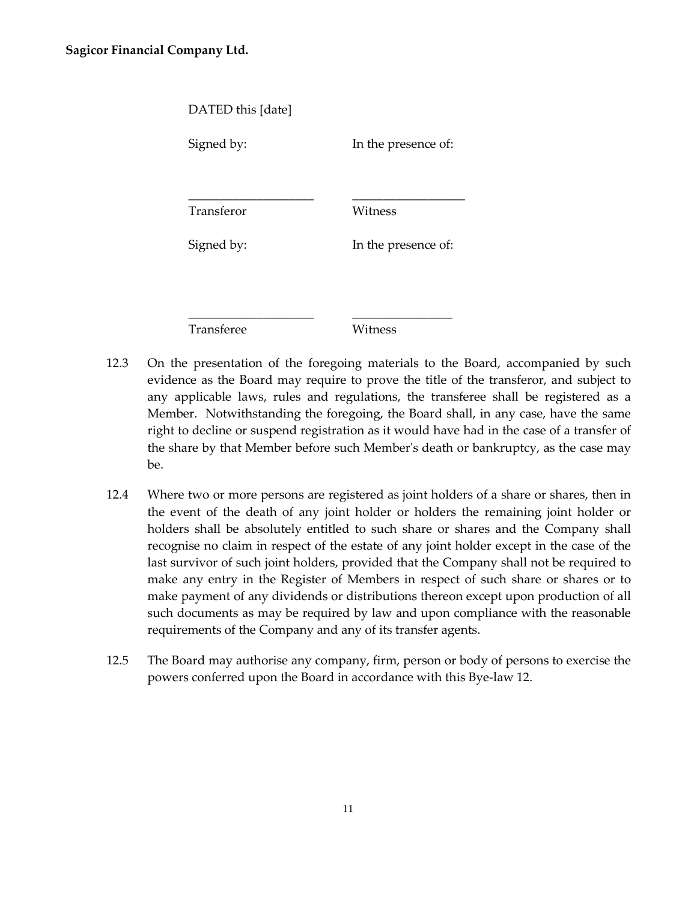| DATED this [date] |                     |
|-------------------|---------------------|
| Signed by:        | In the presence of: |
|                   |                     |
| Transferor        | Witness             |
| Signed by:        | In the presence of: |
|                   |                     |
|                   |                     |
| Transferee        | ∕itness             |

- 12.3 On the presentation of the foregoing materials to the Board, accompanied by such evidence as the Board may require to prove the title of the transferor, and subject to any applicable laws, rules and regulations, the transferee shall be registered as a Member. Notwithstanding the foregoing, the Board shall, in any case, have the same right to decline or suspend registration as it would have had in the case of a transfer of the share by that Member before such Member's death or bankruptcy, as the case may be.
- 12.4 Where two or more persons are registered as joint holders of a share or shares, then in the event of the death of any joint holder or holders the remaining joint holder or holders shall be absolutely entitled to such share or shares and the Company shall recognise no claim in respect of the estate of any joint holder except in the case of the last survivor of such joint holders, provided that the Company shall not be required to make any entry in the Register of Members in respect of such share or shares or to make payment of any dividends or distributions thereon except upon production of all such documents as may be required by law and upon compliance with the reasonable requirements of the Company and any of its transfer agents.
- 12.5 The Board may authorise any company, firm, person or body of persons to exercise the powers conferred upon the Board in accordance with this Bye-law 12.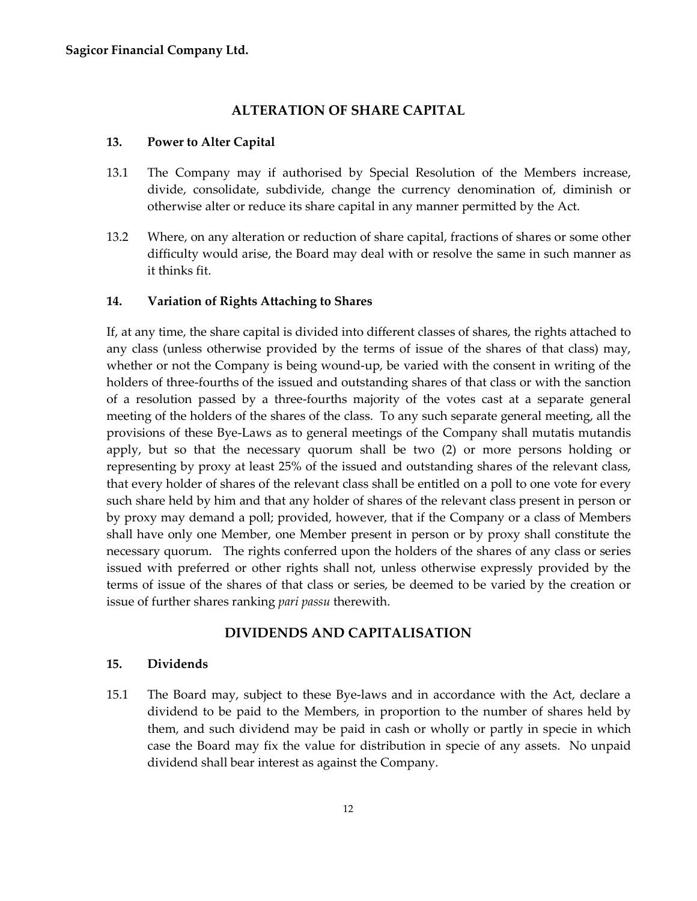# **ALTERATION OF SHARE CAPITAL**

#### <span id="page-15-1"></span><span id="page-15-0"></span>**13. Power to Alter Capital**

- 13.1 The Company may if authorised by Special Resolution of the Members increase, divide, consolidate, subdivide, change the currency denomination of, diminish or otherwise alter or reduce its share capital in any manner permitted by the Act.
- 13.2 Where, on any alteration or reduction of share capital, fractions of shares or some other difficulty would arise, the Board may deal with or resolve the same in such manner as it thinks fit.

#### <span id="page-15-2"></span>**14. Variation of Rights Attaching to Shares**

If, at any time, the share capital is divided into different classes of shares, the rights attached to any class (unless otherwise provided by the terms of issue of the shares of that class) may, whether or not the Company is being wound-up, be varied with the consent in writing of the holders of three-fourths of the issued and outstanding shares of that class or with the sanction of a resolution passed by a three-fourths majority of the votes cast at a separate general meeting of the holders of the shares of the class. To any such separate general meeting, all the provisions of these Bye-Laws as to general meetings of the Company shall mutatis mutandis apply, but so that the necessary quorum shall be two (2) or more persons holding or representing by proxy at least 25% of the issued and outstanding shares of the relevant class, that every holder of shares of the relevant class shall be entitled on a poll to one vote for every such share held by him and that any holder of shares of the relevant class present in person or by proxy may demand a poll; provided, however, that if the Company or a class of Members shall have only one Member, one Member present in person or by proxy shall constitute the necessary quorum. The rights conferred upon the holders of the shares of any class or series issued with preferred or other rights shall not, unless otherwise expressly provided by the terms of issue of the shares of that class or series, be deemed to be varied by the creation or issue of further shares ranking *pari passu* therewith.

# **DIVIDENDS AND CAPITALISATION**

#### <span id="page-15-4"></span><span id="page-15-3"></span>**15. Dividends**

15.1 The Board may, subject to these Bye-laws and in accordance with the Act, declare a dividend to be paid to the Members, in proportion to the number of shares held by them, and such dividend may be paid in cash or wholly or partly in specie in which case the Board may fix the value for distribution in specie of any assets. No unpaid dividend shall bear interest as against the Company.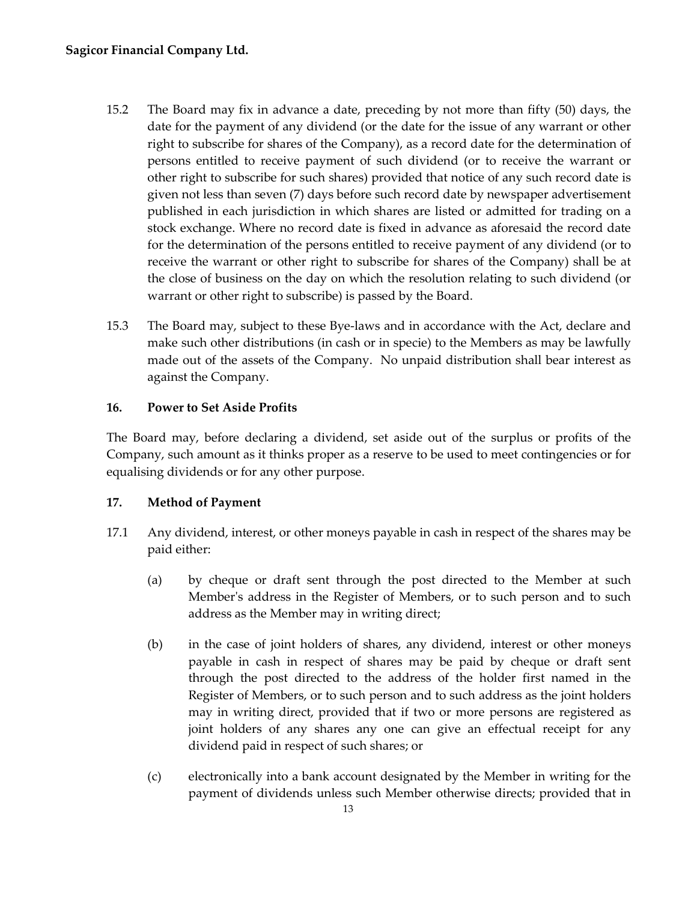- 15.2 The Board may fix in advance a date, preceding by not more than fifty (50) days, the date for the payment of any dividend (or the date for the issue of any warrant or other right to subscribe for shares of the Company), as a record date for the determination of persons entitled to receive payment of such dividend (or to receive the warrant or other right to subscribe for such shares) provided that notice of any such record date is given not less than seven (7) days before such record date by newspaper advertisement published in each jurisdiction in which shares are listed or admitted for trading on a stock exchange. Where no record date is fixed in advance as aforesaid the record date for the determination of the persons entitled to receive payment of any dividend (or to receive the warrant or other right to subscribe for shares of the Company) shall be at the close of business on the day on which the resolution relating to such dividend (or warrant or other right to subscribe) is passed by the Board.
- 15.3 The Board may, subject to these Bye-laws and in accordance with the Act, declare and make such other distributions (in cash or in specie) to the Members as may be lawfully made out of the assets of the Company. No unpaid distribution shall bear interest as against the Company.

# <span id="page-16-0"></span>**16. Power to Set Aside Profits**

The Board may, before declaring a dividend, set aside out of the surplus or profits of the Company, such amount as it thinks proper as a reserve to be used to meet contingencies or for equalising dividends or for any other purpose.

# <span id="page-16-1"></span>**17. Method of Payment**

- 17.1 Any dividend, interest, or other moneys payable in cash in respect of the shares may be paid either:
	- (a) by cheque or draft sent through the post directed to the Member at such Member's address in the Register of Members, or to such person and to such address as the Member may in writing direct;
	- (b) in the case of joint holders of shares, any dividend, interest or other moneys payable in cash in respect of shares may be paid by cheque or draft sent through the post directed to the address of the holder first named in the Register of Members, or to such person and to such address as the joint holders may in writing direct, provided that if two or more persons are registered as joint holders of any shares any one can give an effectual receipt for any dividend paid in respect of such shares; or
	- (c) electronically into a bank account designated by the Member in writing for the payment of dividends unless such Member otherwise directs; provided that in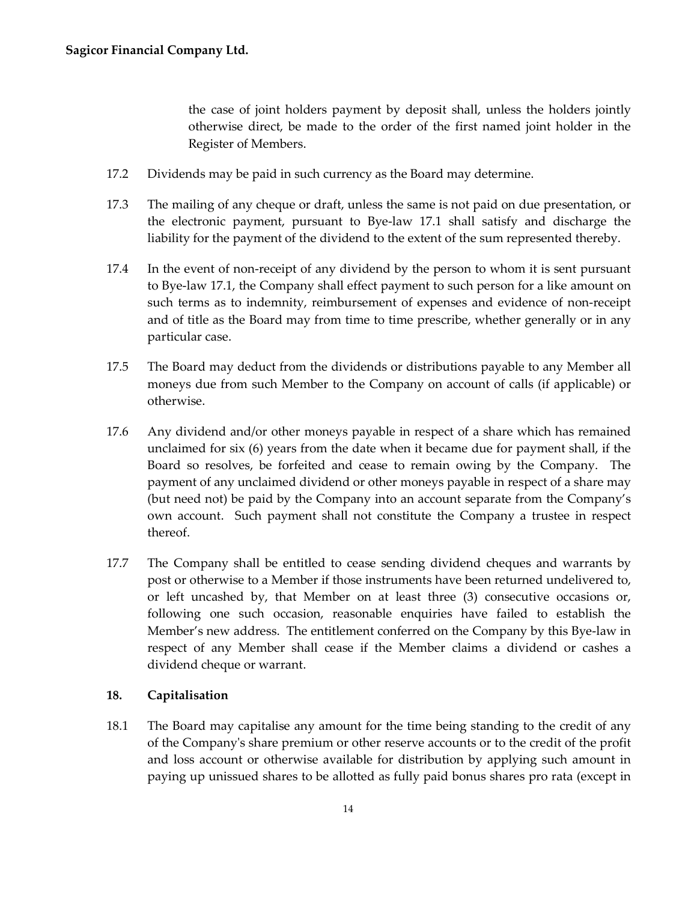the case of joint holders payment by deposit shall, unless the holders jointly otherwise direct, be made to the order of the first named joint holder in the Register of Members.

- 17.2 Dividends may be paid in such currency as the Board may determine.
- 17.3 The mailing of any cheque or draft, unless the same is not paid on due presentation, or the electronic payment, pursuant to Bye-law 17.1 shall satisfy and discharge the liability for the payment of the dividend to the extent of the sum represented thereby.
- 17.4 In the event of non-receipt of any dividend by the person to whom it is sent pursuant to Bye-law 17.1, the Company shall effect payment to such person for a like amount on such terms as to indemnity, reimbursement of expenses and evidence of non-receipt and of title as the Board may from time to time prescribe, whether generally or in any particular case.
- 17.5 The Board may deduct from the dividends or distributions payable to any Member all moneys due from such Member to the Company on account of calls (if applicable) or otherwise.
- 17.6 Any dividend and/or other moneys payable in respect of a share which has remained unclaimed for six (6) years from the date when it became due for payment shall, if the Board so resolves, be forfeited and cease to remain owing by the Company. The payment of any unclaimed dividend or other moneys payable in respect of a share may (but need not) be paid by the Company into an account separate from the Company's own account. Such payment shall not constitute the Company a trustee in respect thereof.
- 17.7 The Company shall be entitled to cease sending dividend cheques and warrants by post or otherwise to a Member if those instruments have been returned undelivered to, or left uncashed by, that Member on at least three (3) consecutive occasions or, following one such occasion, reasonable enquiries have failed to establish the Member's new address. The entitlement conferred on the Company by this Bye-law in respect of any Member shall cease if the Member claims a dividend or cashes a dividend cheque or warrant.

#### <span id="page-17-0"></span>**18. Capitalisation**

18.1 The Board may capitalise any amount for the time being standing to the credit of any of the Company's share premium or other reserve accounts or to the credit of the profit and loss account or otherwise available for distribution by applying such amount in paying up unissued shares to be allotted as fully paid bonus shares pro rata (except in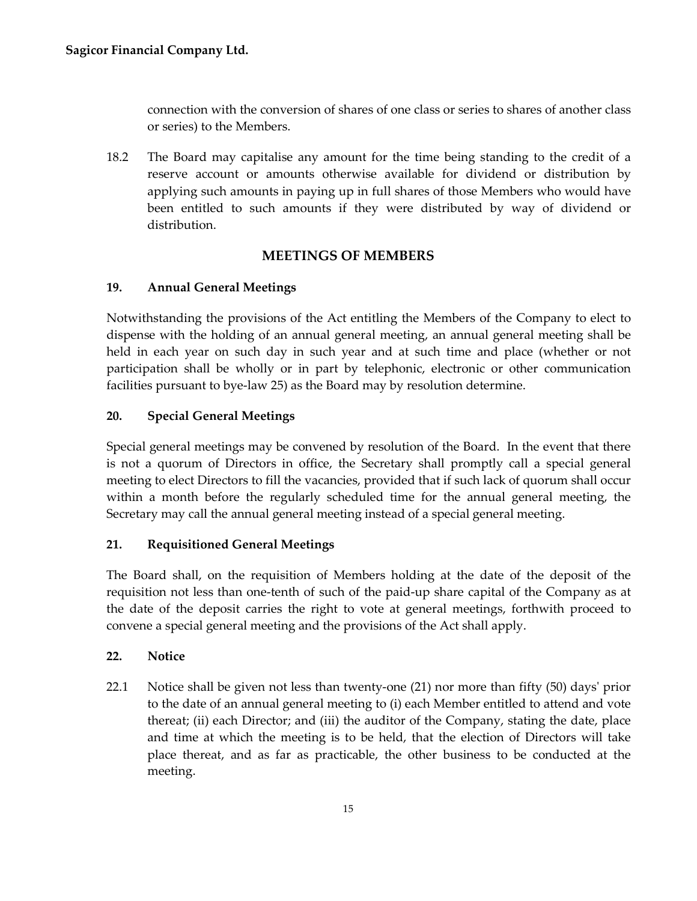connection with the conversion of shares of one class or series to shares of another class or series) to the Members.

18.2 The Board may capitalise any amount for the time being standing to the credit of a reserve account or amounts otherwise available for dividend or distribution by applying such amounts in paying up in full shares of those Members who would have been entitled to such amounts if they were distributed by way of dividend or distribution.

# **MEETINGS OF MEMBERS**

# <span id="page-18-1"></span><span id="page-18-0"></span>**19. Annual General Meetings**

Notwithstanding the provisions of the Act entitling the Members of the Company to elect to dispense with the holding of an annual general meeting, an annual general meeting shall be held in each year on such day in such year and at such time and place (whether or not participation shall be wholly or in part by telephonic, electronic or other communication facilities pursuant to bye-law 25) as the Board may by resolution determine.

# <span id="page-18-2"></span>**20. Special General Meetings**

Special general meetings may be convened by resolution of the Board. In the event that there is not a quorum of Directors in office, the Secretary shall promptly call a special general meeting to elect Directors to fill the vacancies, provided that if such lack of quorum shall occur within a month before the regularly scheduled time for the annual general meeting, the Secretary may call the annual general meeting instead of a special general meeting.

# <span id="page-18-3"></span>**21. Requisitioned General Meetings**

The Board shall, on the requisition of Members holding at the date of the deposit of the requisition not less than one-tenth of such of the paid-up share capital of the Company as at the date of the deposit carries the right to vote at general meetings, forthwith proceed to convene a special general meeting and the provisions of the Act shall apply.

## <span id="page-18-4"></span>**22. Notice**

22.1 Notice shall be given not less than twenty-one (21) nor more than fifty (50) days' prior to the date of an annual general meeting to (i) each Member entitled to attend and vote thereat; (ii) each Director; and (iii) the auditor of the Company, stating the date, place and time at which the meeting is to be held, that the election of Directors will take place thereat, and as far as practicable, the other business to be conducted at the meeting.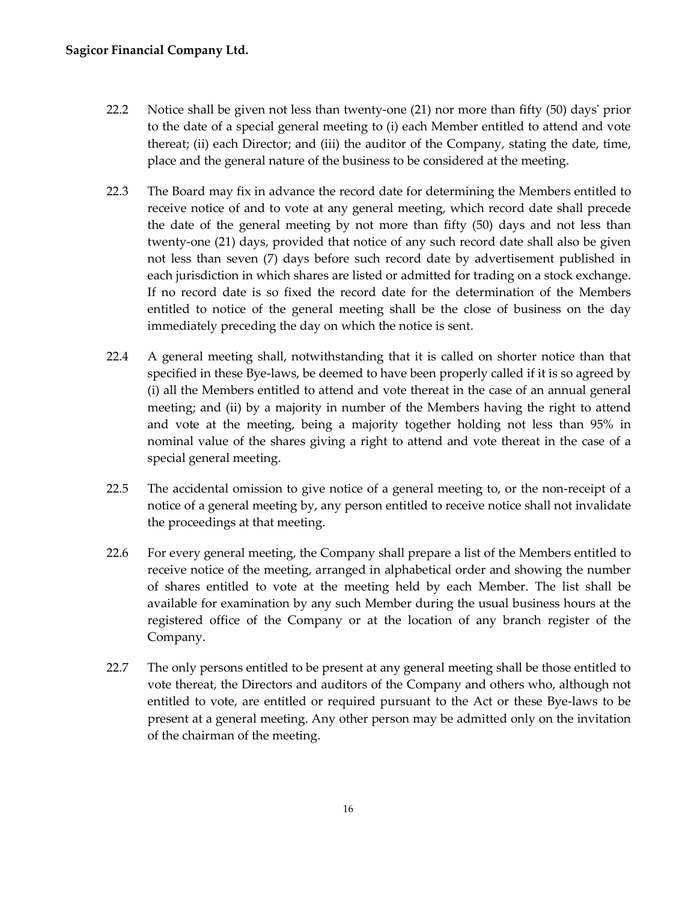## **Sagicor Financial Company Ltd.**

- 22.2 Notice shall be given not less than twenty-one (21) nor more than fifty (50) days' prior to the date of a special general meeting to (i) each Member entitled to attend and vote thereat; (ii) each Director; and (iii) the auditor of the Company, stating the date, time, place and the general nature of the business to be considered at the meeting.
- 22.3 The Board may fix in advance the record date for determining the Members entitled to receive notice of and to vote at any general meeting, which record date shall precede the date of the general meeting by not more than fifty (50) days and not less than twenty-one (21) days, provided that notice of any such record date shall also be given not less than seven (7) days before such record date by advertisement published in each jurisdiction in which shares are listed or admitted for trading on a stock exchange. If no record date is so fixed the record date for the determination of the Members entitled to notice of the general meeting shall be the close of business on the day immediately preceding the day on which the notice is sent.
- 22.4 A general meeting shall, notwithstanding that it is called on shorter notice than that specified in these Bye-laws, be deemed to have been properly called if it is so agreed by (i) all the Members entitled to attend and vote thereat in the case of an annual general meeting; and (ii) by a majority in number of the Members having the right to attend and vote at the meeting, being a majority together holding not less than 95% in nominal value of the shares giving a right to attend and vote thereat in the case of a special general meeting.
- 22.5 The accidental omission to give notice of a general meeting to, or the non-receipt of a notice of a general meeting by, any person entitled to receive notice shall not invalidate the proceedings at that meeting.
- 22.6 For every general meeting, the Company shall prepare a list of the Members entitled to receive notice of the meeting, arranged in alphabetical order and showing the number of shares entitled to vote at the meeting held by each Member. The list shall be available for examination by any such Member during the usual business hours at the registered office of the Company or at the location of any branch register of the Company.
- 22.7 The only persons entitled to be present at any general meeting shall be those entitled to vote thereat, the Directors and auditors of the Company and others who, although not entitled to vote, are entitled or required pursuant to the Act or these Bye-laws to be present at a general meeting. Any other person may be admitted only on the invitation of the chairman of the meeting.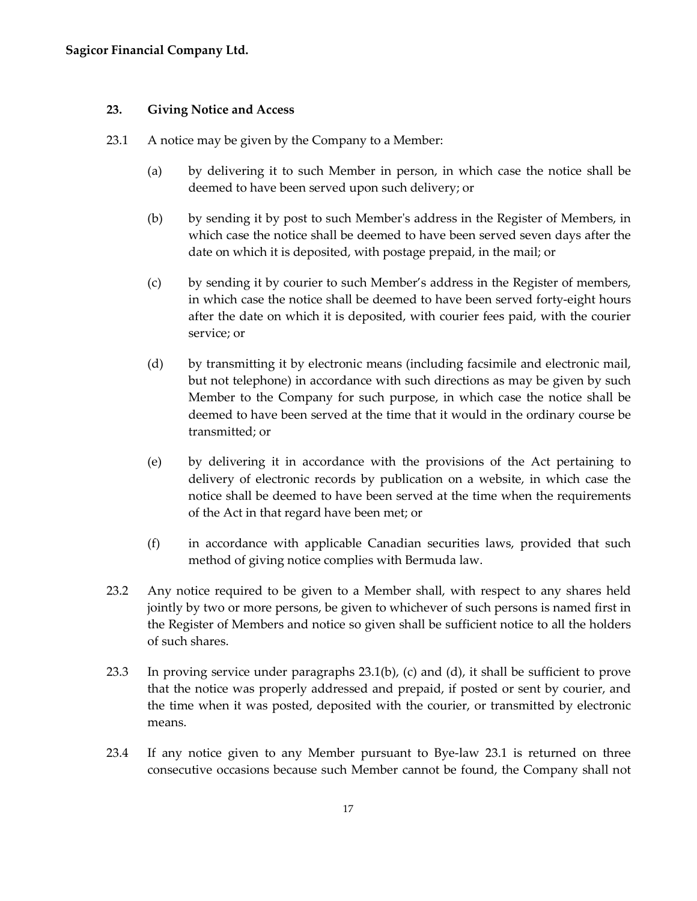#### <span id="page-20-0"></span>**23. Giving Notice and Access**

- <span id="page-20-1"></span>23.1 A notice may be given by the Company to a Member:
	- (a) by delivering it to such Member in person, in which case the notice shall be deemed to have been served upon such delivery; or
	- (b) by sending it by post to such Member's address in the Register of Members, in which case the notice shall be deemed to have been served seven days after the date on which it is deposited, with postage prepaid, in the mail; or
	- (c) by sending it by courier to such Member's address in the Register of members, in which case the notice shall be deemed to have been served forty-eight hours after the date on which it is deposited, with courier fees paid, with the courier service; or
	- (d) by transmitting it by electronic means (including facsimile and electronic mail, but not telephone) in accordance with such directions as may be given by such Member to the Company for such purpose, in which case the notice shall be deemed to have been served at the time that it would in the ordinary course be transmitted; or
	- (e) by delivering it in accordance with the provisions of the Act pertaining to delivery of electronic records by publication on a website, in which case the notice shall be deemed to have been served at the time when the requirements of the Act in that regard have been met; or
	- (f) in accordance with applicable Canadian securities laws, provided that such method of giving notice complies with Bermuda law.
- 23.2 Any notice required to be given to a Member shall, with respect to any shares held jointly by two or more persons, be given to whichever of such persons is named first in the Register of Members and notice so given shall be sufficient notice to all the holders of such shares.
- 23.3 In proving service under paragraphs [23.1\(b\),](#page-20-1) (c) and (d), it shall be sufficient to prove that the notice was properly addressed and prepaid, if posted or sent by courier, and the time when it was posted, deposited with the courier, or transmitted by electronic means.
- 23.4 If any notice given to any Member pursuant to Bye-law 23.1 is returned on three consecutive occasions because such Member cannot be found, the Company shall not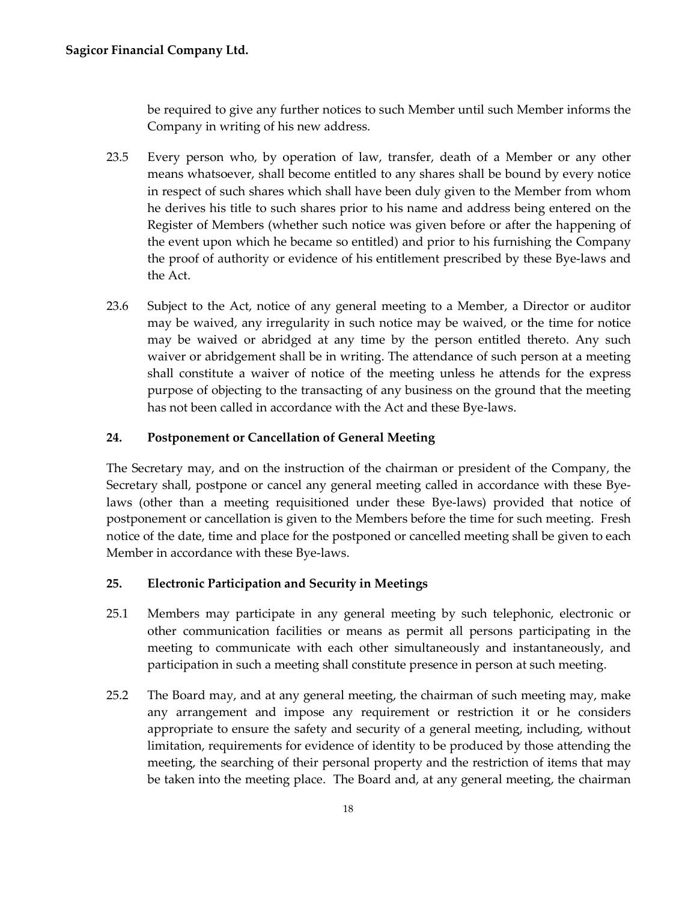be required to give any further notices to such Member until such Member informs the Company in writing of his new address.

- 23.5 Every person who, by operation of law, transfer, death of a Member or any other means whatsoever, shall become entitled to any shares shall be bound by every notice in respect of such shares which shall have been duly given to the Member from whom he derives his title to such shares prior to his name and address being entered on the Register of Members (whether such notice was given before or after the happening of the event upon which he became so entitled) and prior to his furnishing the Company the proof of authority or evidence of his entitlement prescribed by these Bye-laws and the Act.
- 23.6 Subject to the Act, notice of any general meeting to a Member, a Director or auditor may be waived, any irregularity in such notice may be waived, or the time for notice may be waived or abridged at any time by the person entitled thereto. Any such waiver or abridgement shall be in writing. The attendance of such person at a meeting shall constitute a waiver of notice of the meeting unless he attends for the express purpose of objecting to the transacting of any business on the ground that the meeting has not been called in accordance with the Act and these Bye-laws.

# <span id="page-21-0"></span>**24. Postponement or Cancellation of General Meeting**

The Secretary may, and on the instruction of the chairman or president of the Company, the Secretary shall, postpone or cancel any general meeting called in accordance with these Byelaws (other than a meeting requisitioned under these Bye-laws) provided that notice of postponement or cancellation is given to the Members before the time for such meeting. Fresh notice of the date, time and place for the postponed or cancelled meeting shall be given to each Member in accordance with these Bye-laws.

## <span id="page-21-1"></span>**25. Electronic Participation and Security in Meetings**

- 25.1 Members may participate in any general meeting by such telephonic, electronic or other communication facilities or means as permit all persons participating in the meeting to communicate with each other simultaneously and instantaneously, and participation in such a meeting shall constitute presence in person at such meeting.
- 25.2 The Board may, and at any general meeting, the chairman of such meeting may, make any arrangement and impose any requirement or restriction it or he considers appropriate to ensure the safety and security of a general meeting, including, without limitation, requirements for evidence of identity to be produced by those attending the meeting, the searching of their personal property and the restriction of items that may be taken into the meeting place. The Board and, at any general meeting, the chairman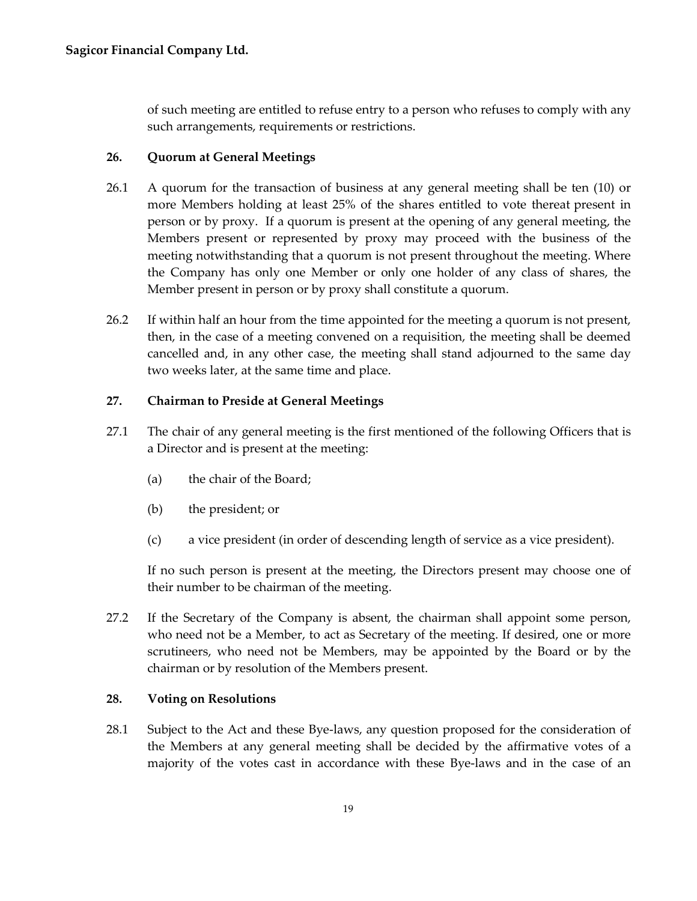of such meeting are entitled to refuse entry to a person who refuses to comply with any such arrangements, requirements or restrictions.

## <span id="page-22-0"></span>**26. Quorum at General Meetings**

- 26.1 A quorum for the transaction of business at any general meeting shall be ten (10) or more Members holding at least 25% of the shares entitled to vote thereat present in person or by proxy. If a quorum is present at the opening of any general meeting, the Members present or represented by proxy may proceed with the business of the meeting notwithstanding that a quorum is not present throughout the meeting. Where the Company has only one Member or only one holder of any class of shares, the Member present in person or by proxy shall constitute a quorum.
- 26.2 If within half an hour from the time appointed for the meeting a quorum is not present, then, in the case of a meeting convened on a requisition, the meeting shall be deemed cancelled and, in any other case, the meeting shall stand adjourned to the same day two weeks later, at the same time and place.

## <span id="page-22-1"></span>**27. Chairman to Preside at General Meetings**

- 27.1 The chair of any general meeting is the first mentioned of the following Officers that is a Director and is present at the meeting:
	- (a) the chair of the Board;
	- (b) the president; or
	- (c) a vice president (in order of descending length of service as a vice president).

If no such person is present at the meeting, the Directors present may choose one of their number to be chairman of the meeting.

27.2 If the Secretary of the Company is absent, the chairman shall appoint some person, who need not be a Member, to act as Secretary of the meeting. If desired, one or more scrutineers, who need not be Members, may be appointed by the Board or by the chairman or by resolution of the Members present.

## <span id="page-22-2"></span>**28. Voting on Resolutions**

28.1 Subject to the Act and these Bye-laws, any question proposed for the consideration of the Members at any general meeting shall be decided by the affirmative votes of a majority of the votes cast in accordance with these Bye-laws and in the case of an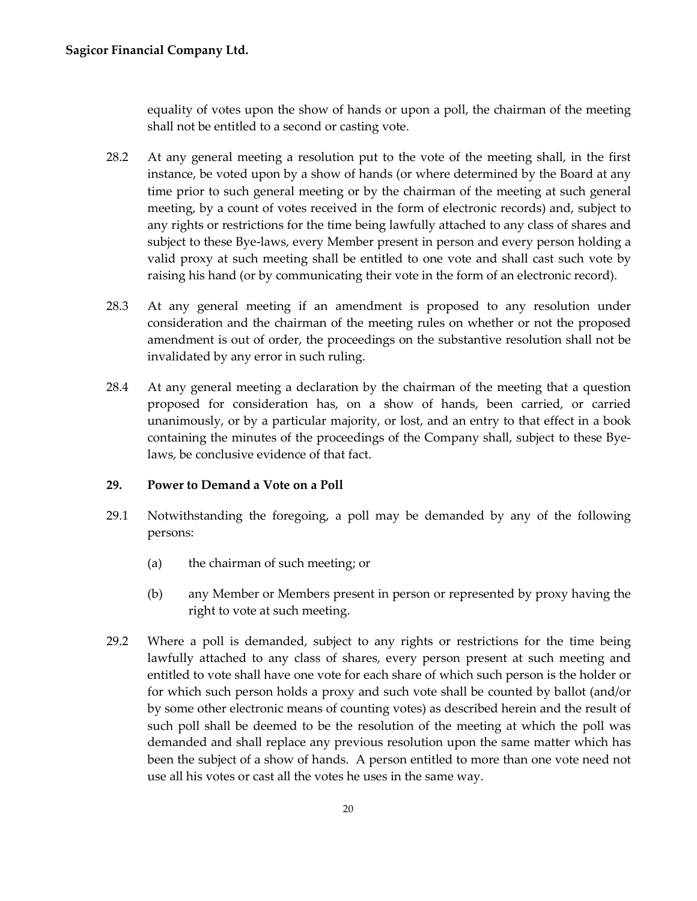equality of votes upon the show of hands or upon a poll, the chairman of the meeting shall not be entitled to a second or casting vote.

- 28.2 At any general meeting a resolution put to the vote of the meeting shall, in the first instance, be voted upon by a show of hands (or where determined by the Board at any time prior to such general meeting or by the chairman of the meeting at such general meeting, by a count of votes received in the form of electronic records) and, subject to any rights or restrictions for the time being lawfully attached to any class of shares and subject to these Bye-laws, every Member present in person and every person holding a valid proxy at such meeting shall be entitled to one vote and shall cast such vote by raising his hand (or by communicating their vote in the form of an electronic record).
- 28.3 At any general meeting if an amendment is proposed to any resolution under consideration and the chairman of the meeting rules on whether or not the proposed amendment is out of order, the proceedings on the substantive resolution shall not be invalidated by any error in such ruling.
- 28.4 At any general meeting a declaration by the chairman of the meeting that a question proposed for consideration has, on a show of hands, been carried, or carried unanimously, or by a particular majority, or lost, and an entry to that effect in a book containing the minutes of the proceedings of the Company shall, subject to these Byelaws, be conclusive evidence of that fact.

## <span id="page-23-0"></span>**29. Power to Demand a Vote on a Poll**

- 29.1 Notwithstanding the foregoing, a poll may be demanded by any of the following persons:
	- (a) the chairman of such meeting; or
	- (b) any Member or Members present in person or represented by proxy having the right to vote at such meeting.
- 29.2 Where a poll is demanded, subject to any rights or restrictions for the time being lawfully attached to any class of shares, every person present at such meeting and entitled to vote shall have one vote for each share of which such person is the holder or for which such person holds a proxy and such vote shall be counted by ballot (and/or by some other electronic means of counting votes) as described herein and the result of such poll shall be deemed to be the resolution of the meeting at which the poll was demanded and shall replace any previous resolution upon the same matter which has been the subject of a show of hands. A person entitled to more than one vote need not use all his votes or cast all the votes he uses in the same way.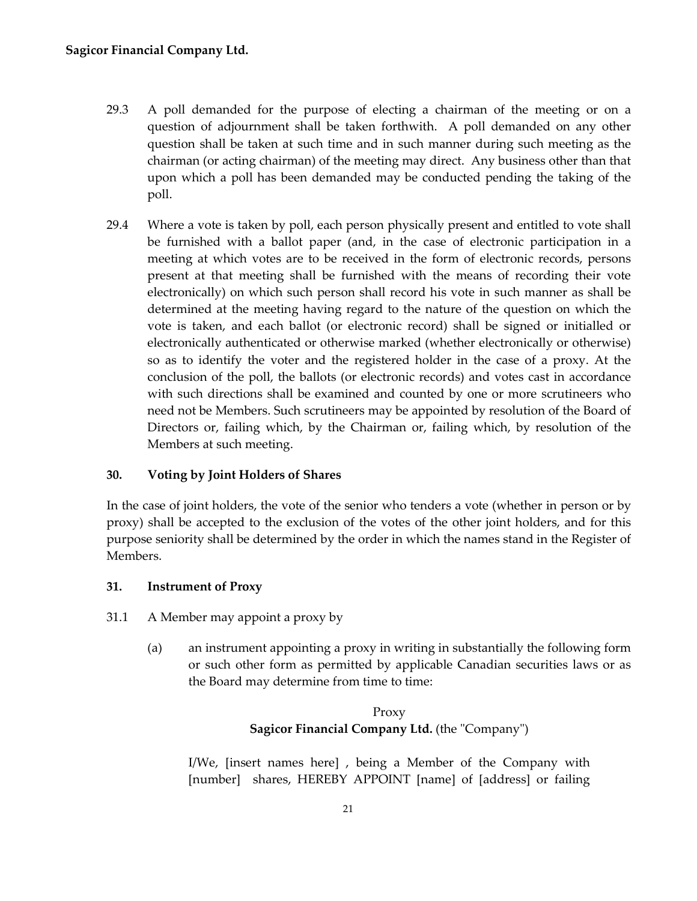- 29.3 A poll demanded for the purpose of electing a chairman of the meeting or on a question of adjournment shall be taken forthwith. A poll demanded on any other question shall be taken at such time and in such manner during such meeting as the chairman (or acting chairman) of the meeting may direct. Any business other than that upon which a poll has been demanded may be conducted pending the taking of the poll.
- 29.4 Where a vote is taken by poll, each person physically present and entitled to vote shall be furnished with a ballot paper (and, in the case of electronic participation in a meeting at which votes are to be received in the form of electronic records, persons present at that meeting shall be furnished with the means of recording their vote electronically) on which such person shall record his vote in such manner as shall be determined at the meeting having regard to the nature of the question on which the vote is taken, and each ballot (or electronic record) shall be signed or initialled or electronically authenticated or otherwise marked (whether electronically or otherwise) so as to identify the voter and the registered holder in the case of a proxy. At the conclusion of the poll, the ballots (or electronic records) and votes cast in accordance with such directions shall be examined and counted by one or more scrutineers who need not be Members. Such scrutineers may be appointed by resolution of the Board of Directors or, failing which, by the Chairman or, failing which, by resolution of the Members at such meeting.

## <span id="page-24-0"></span>**30. Voting by Joint Holders of Shares**

In the case of joint holders, the vote of the senior who tenders a vote (whether in person or by proxy) shall be accepted to the exclusion of the votes of the other joint holders, and for this purpose seniority shall be determined by the order in which the names stand in the Register of Members.

#### <span id="page-24-1"></span>**31. Instrument of Proxy**

- 31.1 A Member may appoint a proxy by
	- (a) an instrument appointing a proxy in writing in substantially the following form or such other form as permitted by applicable Canadian securities laws or as the Board may determine from time to time:

# Proxy **Sagicor Financial Company Ltd.** (the "Company")

I/We, [insert names here] , being a Member of the Company with [number] shares, HEREBY APPOINT [name] of [address] or failing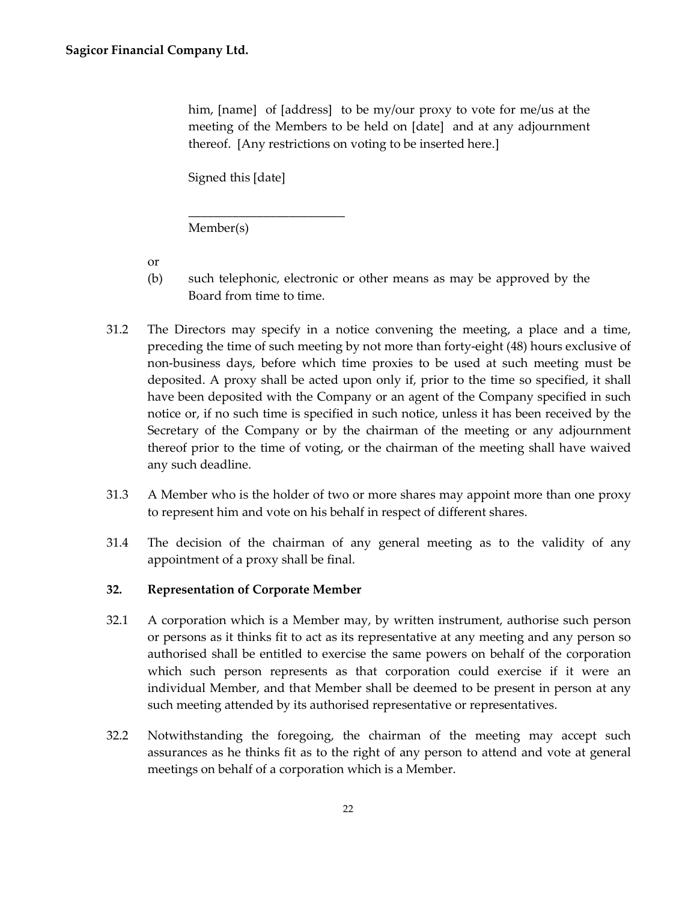him, [name] of [address] to be my/our proxy to vote for me/us at the meeting of the Members to be held on [date] and at any adjournment thereof. [Any restrictions on voting to be inserted here.]

Signed this [date]

\_\_\_\_\_\_\_\_\_\_\_\_\_\_\_\_\_\_\_\_\_\_\_\_\_

Member(s)

or

- (b) such telephonic, electronic or other means as may be approved by the Board from time to time.
- 31.2 The Directors may specify in a notice convening the meeting, a place and a time, preceding the time of such meeting by not more than forty-eight (48) hours exclusive of non-business days, before which time proxies to be used at such meeting must be deposited. A proxy shall be acted upon only if, prior to the time so specified, it shall have been deposited with the Company or an agent of the Company specified in such notice or, if no such time is specified in such notice, unless it has been received by the Secretary of the Company or by the chairman of the meeting or any adjournment thereof prior to the time of voting, or the chairman of the meeting shall have waived any such deadline.
- 31.3 A Member who is the holder of two or more shares may appoint more than one proxy to represent him and vote on his behalf in respect of different shares.
- 31.4 The decision of the chairman of any general meeting as to the validity of any appointment of a proxy shall be final.

## <span id="page-25-0"></span>**32. Representation of Corporate Member**

- 32.1 A corporation which is a Member may, by written instrument, authorise such person or persons as it thinks fit to act as its representative at any meeting and any person so authorised shall be entitled to exercise the same powers on behalf of the corporation which such person represents as that corporation could exercise if it were an individual Member, and that Member shall be deemed to be present in person at any such meeting attended by its authorised representative or representatives.
- 32.2 Notwithstanding the foregoing, the chairman of the meeting may accept such assurances as he thinks fit as to the right of any person to attend and vote at general meetings on behalf of a corporation which is a Member.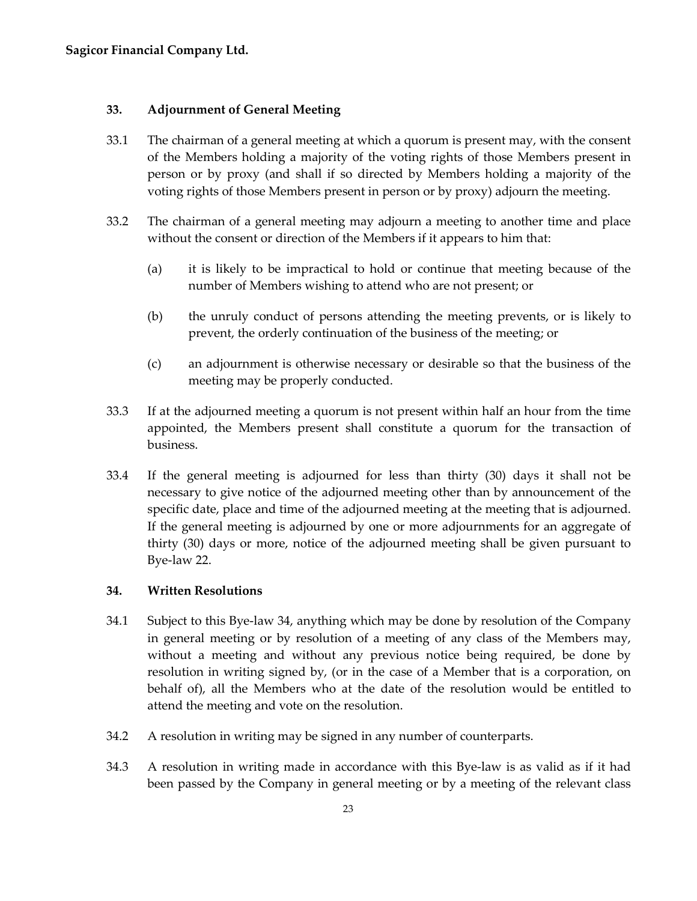#### <span id="page-26-0"></span>**33. Adjournment of General Meeting**

- 33.1 The chairman of a general meeting at which a quorum is present may, with the consent of the Members holding a majority of the voting rights of those Members present in person or by proxy (and shall if so directed by Members holding a majority of the voting rights of those Members present in person or by proxy) adjourn the meeting.
- 33.2 The chairman of a general meeting may adjourn a meeting to another time and place without the consent or direction of the Members if it appears to him that:
	- (a) it is likely to be impractical to hold or continue that meeting because of the number of Members wishing to attend who are not present; or
	- (b) the unruly conduct of persons attending the meeting prevents, or is likely to prevent, the orderly continuation of the business of the meeting; or
	- (c) an adjournment is otherwise necessary or desirable so that the business of the meeting may be properly conducted.
- 33.3 If at the adjourned meeting a quorum is not present within half an hour from the time appointed, the Members present shall constitute a quorum for the transaction of business.
- 33.4 If the general meeting is adjourned for less than thirty (30) days it shall not be necessary to give notice of the adjourned meeting other than by announcement of the specific date, place and time of the adjourned meeting at the meeting that is adjourned. If the general meeting is adjourned by one or more adjournments for an aggregate of thirty (30) days or more, notice of the adjourned meeting shall be given pursuant to Bye-law 22.

#### <span id="page-26-1"></span>**34. Written Resolutions**

- 34.1 Subject to this Bye-law 34, anything which may be done by resolution of the Company in general meeting or by resolution of a meeting of any class of the Members may, without a meeting and without any previous notice being required, be done by resolution in writing signed by, (or in the case of a Member that is a corporation, on behalf of), all the Members who at the date of the resolution would be entitled to attend the meeting and vote on the resolution.
- 34.2 A resolution in writing may be signed in any number of counterparts.
- 34.3 A resolution in writing made in accordance with this Bye-law is as valid as if it had been passed by the Company in general meeting or by a meeting of the relevant class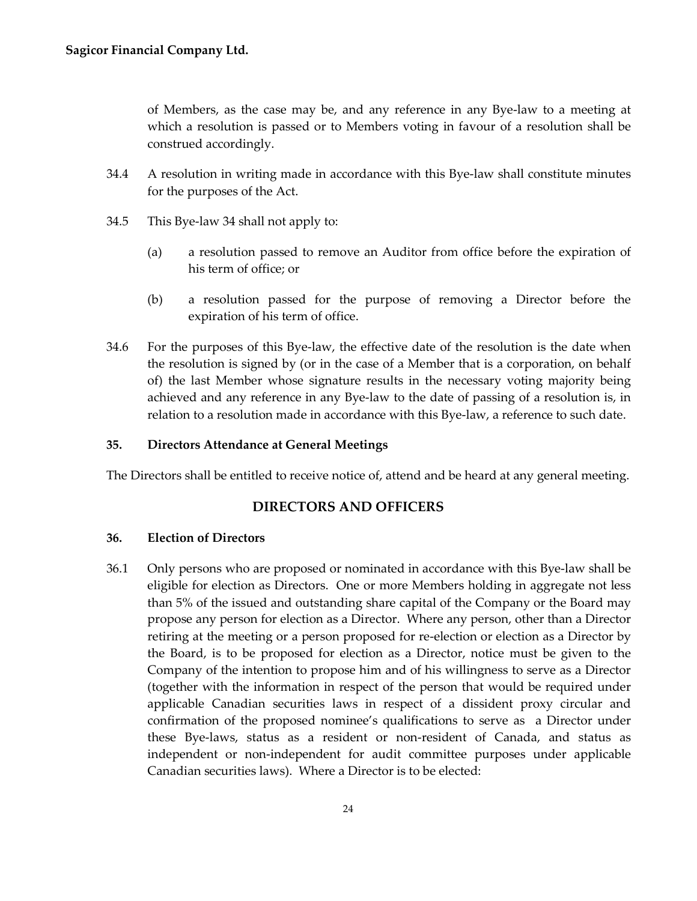of Members, as the case may be, and any reference in any Bye-law to a meeting at which a resolution is passed or to Members voting in favour of a resolution shall be construed accordingly.

- 34.4 A resolution in writing made in accordance with this Bye-law shall constitute minutes for the purposes of the Act.
- 34.5 This Bye-law 34 shall not apply to:
	- (a) a resolution passed to remove an Auditor from office before the expiration of his term of office; or
	- (b) a resolution passed for the purpose of removing a Director before the expiration of his term of office.
- 34.6 For the purposes of this Bye-law, the effective date of the resolution is the date when the resolution is signed by (or in the case of a Member that is a corporation, on behalf of) the last Member whose signature results in the necessary voting majority being achieved and any reference in any Bye-law to the date of passing of a resolution is, in relation to a resolution made in accordance with this Bye-law, a reference to such date.

#### <span id="page-27-0"></span>**35. Directors Attendance at General Meetings**

<span id="page-27-1"></span>The Directors shall be entitled to receive notice of, attend and be heard at any general meeting.

# **DIRECTORS AND OFFICERS**

#### <span id="page-27-2"></span>**36. Election of Directors**

36.1 Only persons who are proposed or nominated in accordance with this Bye-law shall be eligible for election as Directors. One or more Members holding in aggregate not less than 5% of the issued and outstanding share capital of the Company or the Board may propose any person for election as a Director. Where any person, other than a Director retiring at the meeting or a person proposed for re-election or election as a Director by the Board, is to be proposed for election as a Director, notice must be given to the Company of the intention to propose him and of his willingness to serve as a Director (together with the information in respect of the person that would be required under applicable Canadian securities laws in respect of a dissident proxy circular and confirmation of the proposed nominee's qualifications to serve as a Director under these Bye-laws, status as a resident or non-resident of Canada, and status as independent or non-independent for audit committee purposes under applicable Canadian securities laws). Where a Director is to be elected: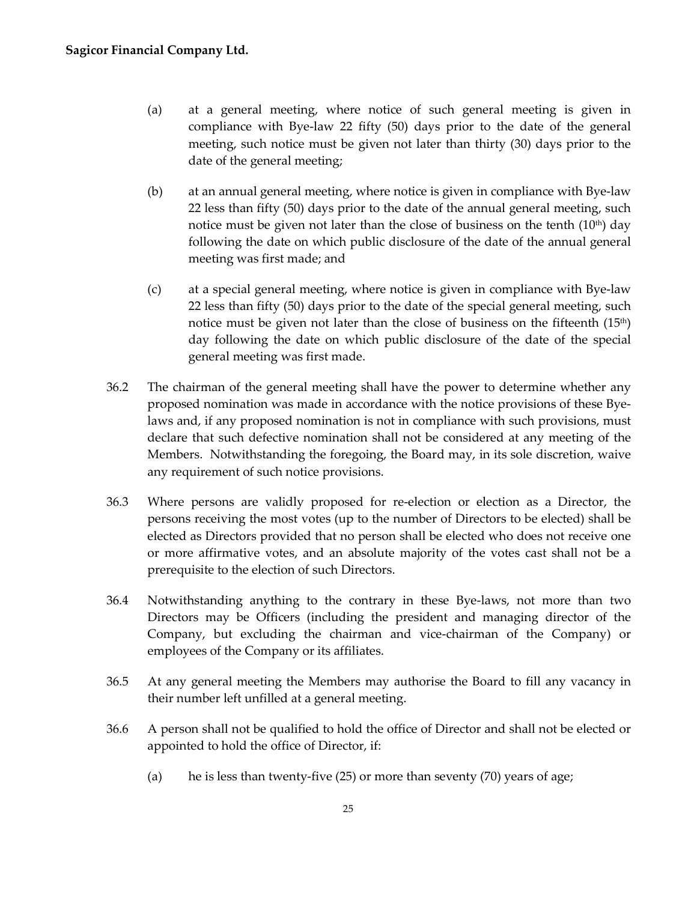- (a) at a general meeting, where notice of such general meeting is given in compliance with Bye-law 22 fifty (50) days prior to the date of the general meeting, such notice must be given not later than thirty (30) days prior to the date of the general meeting;
- (b) at an annual general meeting, where notice is given in compliance with Bye-law 22 less than fifty (50) days prior to the date of the annual general meeting, such notice must be given not later than the close of business on the tenth  $(10<sup>th</sup>)$  day following the date on which public disclosure of the date of the annual general meeting was first made; and
- (c) at a special general meeting, where notice is given in compliance with Bye-law 22 less than fifty (50) days prior to the date of the special general meeting, such notice must be given not later than the close of business on the fifteenth  $(15<sup>th</sup>)$ day following the date on which public disclosure of the date of the special general meeting was first made.
- 36.2 The chairman of the general meeting shall have the power to determine whether any proposed nomination was made in accordance with the notice provisions of these Byelaws and, if any proposed nomination is not in compliance with such provisions, must declare that such defective nomination shall not be considered at any meeting of the Members. Notwithstanding the foregoing, the Board may, in its sole discretion, waive any requirement of such notice provisions.
- 36.3 Where persons are validly proposed for re-election or election as a Director, the persons receiving the most votes (up to the number of Directors to be elected) shall be elected as Directors provided that no person shall be elected who does not receive one or more affirmative votes, and an absolute majority of the votes cast shall not be a prerequisite to the election of such Directors.
- 36.4 Notwithstanding anything to the contrary in these Bye-laws, not more than two Directors may be Officers (including the president and managing director of the Company, but excluding the chairman and vice-chairman of the Company) or employees of the Company or its affiliates.
- 36.5 At any general meeting the Members may authorise the Board to fill any vacancy in their number left unfilled at a general meeting.
- 36.6 A person shall not be qualified to hold the office of Director and shall not be elected or appointed to hold the office of Director, if:
	- (a) he is less than twenty-five  $(25)$  or more than seventy  $(70)$  years of age;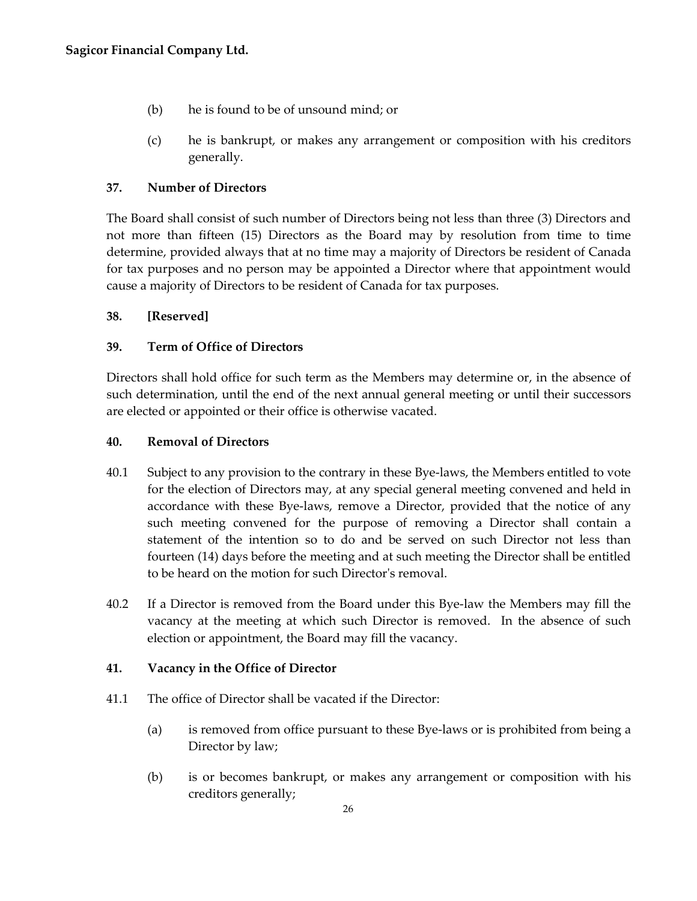- (b) he is found to be of unsound mind; or
- (c) he is bankrupt, or makes any arrangement or composition with his creditors generally.

# <span id="page-29-0"></span>**37. Number of Directors**

The Board shall consist of such number of Directors being not less than three (3) Directors and not more than fifteen (15) Directors as the Board may by resolution from time to time determine, provided always that at no time may a majority of Directors be resident of Canada for tax purposes and no person may be appointed a Director where that appointment would cause a majority of Directors to be resident of Canada for tax purposes.

## <span id="page-29-1"></span>**38. [Reserved]**

# <span id="page-29-2"></span>**39. Term of Office of Directors**

Directors shall hold office for such term as the Members may determine or, in the absence of such determination, until the end of the next annual general meeting or until their successors are elected or appointed or their office is otherwise vacated.

## <span id="page-29-3"></span>**40. Removal of Directors**

- 40.1 Subject to any provision to the contrary in these Bye-laws, the Members entitled to vote for the election of Directors may, at any special general meeting convened and held in accordance with these Bye-laws, remove a Director, provided that the notice of any such meeting convened for the purpose of removing a Director shall contain a statement of the intention so to do and be served on such Director not less than fourteen (14) days before the meeting and at such meeting the Director shall be entitled to be heard on the motion for such Director's removal.
- 40.2 If a Director is removed from the Board under this Bye-law the Members may fill the vacancy at the meeting at which such Director is removed. In the absence of such election or appointment, the Board may fill the vacancy.

## <span id="page-29-4"></span>**41. Vacancy in the Office of Director**

- 41.1 The office of Director shall be vacated if the Director:
	- (a) is removed from office pursuant to these Bye-laws or is prohibited from being a Director by law;
	- (b) is or becomes bankrupt, or makes any arrangement or composition with his creditors generally;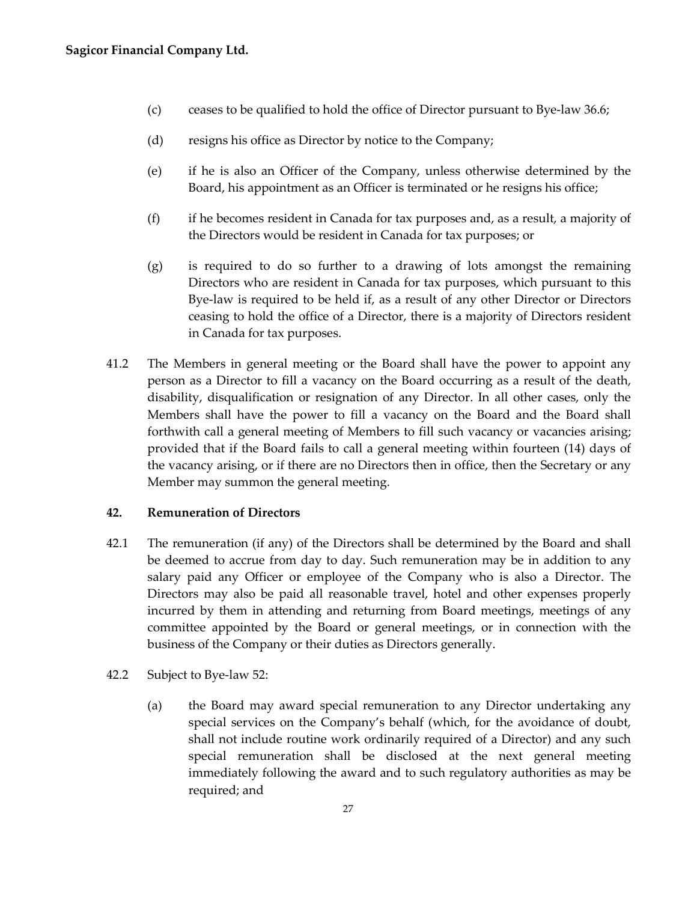- (c) ceases to be qualified to hold the office of Director pursuant to Bye-law 36.6;
- (d) resigns his office as Director by notice to the Company;
- (e) if he is also an Officer of the Company, unless otherwise determined by the Board, his appointment as an Officer is terminated or he resigns his office;
- (f) if he becomes resident in Canada for tax purposes and, as a result, a majority of the Directors would be resident in Canada for tax purposes; or
- (g) is required to do so further to a drawing of lots amongst the remaining Directors who are resident in Canada for tax purposes, which pursuant to this Bye-law is required to be held if, as a result of any other Director or Directors ceasing to hold the office of a Director, there is a majority of Directors resident in Canada for tax purposes.
- 41.2 The Members in general meeting or the Board shall have the power to appoint any person as a Director to fill a vacancy on the Board occurring as a result of the death, disability, disqualification or resignation of any Director. In all other cases, only the Members shall have the power to fill a vacancy on the Board and the Board shall forthwith call a general meeting of Members to fill such vacancy or vacancies arising; provided that if the Board fails to call a general meeting within fourteen (14) days of the vacancy arising, or if there are no Directors then in office, then the Secretary or any Member may summon the general meeting.

## <span id="page-30-0"></span>**42. Remuneration of Directors**

- 42.1 The remuneration (if any) of the Directors shall be determined by the Board and shall be deemed to accrue from day to day. Such remuneration may be in addition to any salary paid any Officer or employee of the Company who is also a Director. The Directors may also be paid all reasonable travel, hotel and other expenses properly incurred by them in attending and returning from Board meetings, meetings of any committee appointed by the Board or general meetings, or in connection with the business of the Company or their duties as Directors generally.
- 42.2 Subject to Bye-law 52:
	- (a) the Board may award special remuneration to any Director undertaking any special services on the Company's behalf (which, for the avoidance of doubt, shall not include routine work ordinarily required of a Director) and any such special remuneration shall be disclosed at the next general meeting immediately following the award and to such regulatory authorities as may be required; and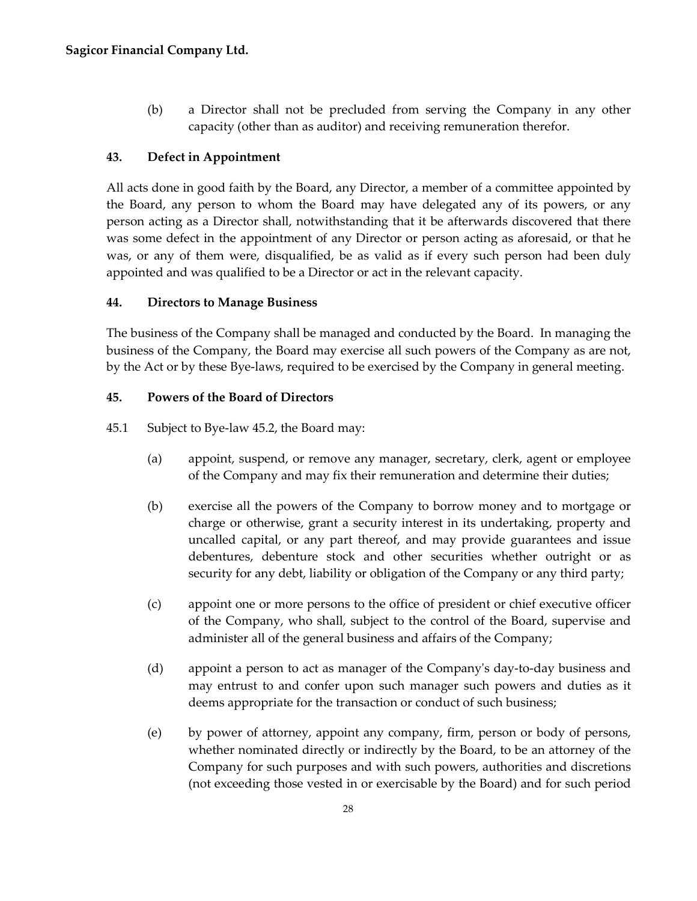(b) a Director shall not be precluded from serving the Company in any other capacity (other than as auditor) and receiving remuneration therefor.

# <span id="page-31-0"></span>**43. Defect in Appointment**

All acts done in good faith by the Board, any Director, a member of a committee appointed by the Board, any person to whom the Board may have delegated any of its powers, or any person acting as a Director shall, notwithstanding that it be afterwards discovered that there was some defect in the appointment of any Director or person acting as aforesaid, or that he was, or any of them were, disqualified, be as valid as if every such person had been duly appointed and was qualified to be a Director or act in the relevant capacity.

# <span id="page-31-1"></span>**44. Directors to Manage Business**

The business of the Company shall be managed and conducted by the Board. In managing the business of the Company, the Board may exercise all such powers of the Company as are not, by the Act or by these Bye-laws, required to be exercised by the Company in general meeting.

# <span id="page-31-2"></span>**45. Powers of the Board of Directors**

45.1 Subject to Bye-law 45.2, the Board may:

- (a) appoint, suspend, or remove any manager, secretary, clerk, agent or employee of the Company and may fix their remuneration and determine their duties;
- (b) exercise all the powers of the Company to borrow money and to mortgage or charge or otherwise, grant a security interest in its undertaking, property and uncalled capital, or any part thereof, and may provide guarantees and issue debentures, debenture stock and other securities whether outright or as security for any debt, liability or obligation of the Company or any third party;
- (c) appoint one or more persons to the office of president or chief executive officer of the Company, who shall, subject to the control of the Board, supervise and administer all of the general business and affairs of the Company;
- (d) appoint a person to act as manager of the Company's day-to-day business and may entrust to and confer upon such manager such powers and duties as it deems appropriate for the transaction or conduct of such business;
- (e) by power of attorney, appoint any company, firm, person or body of persons, whether nominated directly or indirectly by the Board, to be an attorney of the Company for such purposes and with such powers, authorities and discretions (not exceeding those vested in or exercisable by the Board) and for such period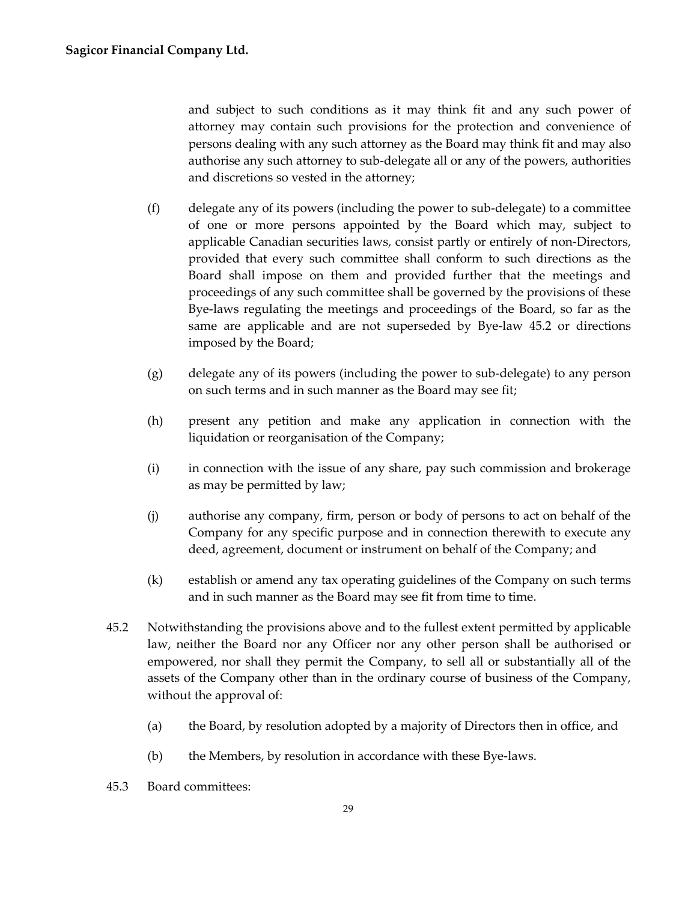and subject to such conditions as it may think fit and any such power of attorney may contain such provisions for the protection and convenience of persons dealing with any such attorney as the Board may think fit and may also authorise any such attorney to sub-delegate all or any of the powers, authorities and discretions so vested in the attorney;

- (f) delegate any of its powers (including the power to sub-delegate) to a committee of one or more persons appointed by the Board which may, subject to applicable Canadian securities laws, consist partly or entirely of non-Directors, provided that every such committee shall conform to such directions as the Board shall impose on them and provided further that the meetings and proceedings of any such committee shall be governed by the provisions of these Bye-laws regulating the meetings and proceedings of the Board, so far as the same are applicable and are not superseded by Bye-law 45.2 or directions imposed by the Board;
- (g) delegate any of its powers (including the power to sub-delegate) to any person on such terms and in such manner as the Board may see fit;
- (h) present any petition and make any application in connection with the liquidation or reorganisation of the Company;
- (i) in connection with the issue of any share, pay such commission and brokerage as may be permitted by law;
- (j) authorise any company, firm, person or body of persons to act on behalf of the Company for any specific purpose and in connection therewith to execute any deed, agreement, document or instrument on behalf of the Company; and
- (k) establish or amend any tax operating guidelines of the Company on such terms and in such manner as the Board may see fit from time to time.
- 45.2 Notwithstanding the provisions above and to the fullest extent permitted by applicable law, neither the Board nor any Officer nor any other person shall be authorised or empowered, nor shall they permit the Company, to sell all or substantially all of the assets of the Company other than in the ordinary course of business of the Company, without the approval of:
	- (a) the Board, by resolution adopted by a majority of Directors then in office, and
	- (b) the Members, by resolution in accordance with these Bye-laws.
- 45.3 Board committees: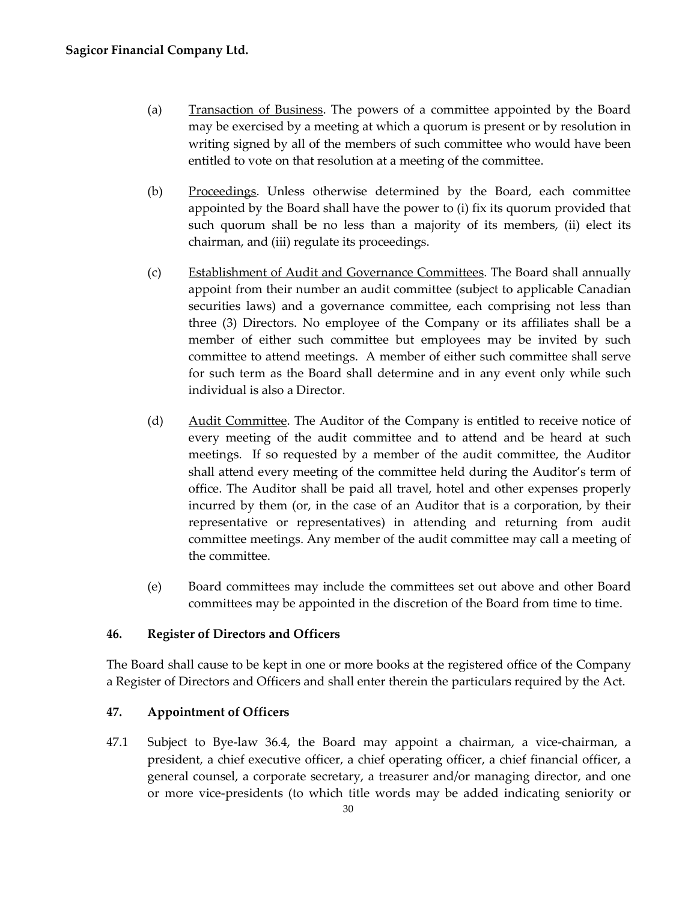- (a) Transaction of Business. The powers of a committee appointed by the Board may be exercised by a meeting at which a quorum is present or by resolution in writing signed by all of the members of such committee who would have been entitled to vote on that resolution at a meeting of the committee.
- (b) Proceedings. Unless otherwise determined by the Board, each committee appointed by the Board shall have the power to (i) fix its quorum provided that such quorum shall be no less than a majority of its members, (ii) elect its chairman, and (iii) regulate its proceedings.
- (c) Establishment of Audit and Governance Committees. The Board shall annually appoint from their number an audit committee (subject to applicable Canadian securities laws) and a governance committee, each comprising not less than three (3) Directors. No employee of the Company or its affiliates shall be a member of either such committee but employees may be invited by such committee to attend meetings. A member of either such committee shall serve for such term as the Board shall determine and in any event only while such individual is also a Director.
- (d) Audit Committee. The Auditor of the Company is entitled to receive notice of every meeting of the audit committee and to attend and be heard at such meetings. If so requested by a member of the audit committee, the Auditor shall attend every meeting of the committee held during the Auditor's term of office. The Auditor shall be paid all travel, hotel and other expenses properly incurred by them (or, in the case of an Auditor that is a corporation, by their representative or representatives) in attending and returning from audit committee meetings. Any member of the audit committee may call a meeting of the committee.
- (e) Board committees may include the committees set out above and other Board committees may be appointed in the discretion of the Board from time to time.

## <span id="page-33-0"></span>**46. Register of Directors and Officers**

The Board shall cause to be kept in one or more books at the registered office of the Company a Register of Directors and Officers and shall enter therein the particulars required by the Act.

## <span id="page-33-1"></span>**47. Appointment of Officers**

47.1 Subject to Bye-law 36.4, the Board may appoint a chairman, a vice-chairman, a president, a chief executive officer, a chief operating officer, a chief financial officer, a general counsel, a corporate secretary, a treasurer and/or managing director, and one or more vice-presidents (to which title words may be added indicating seniority or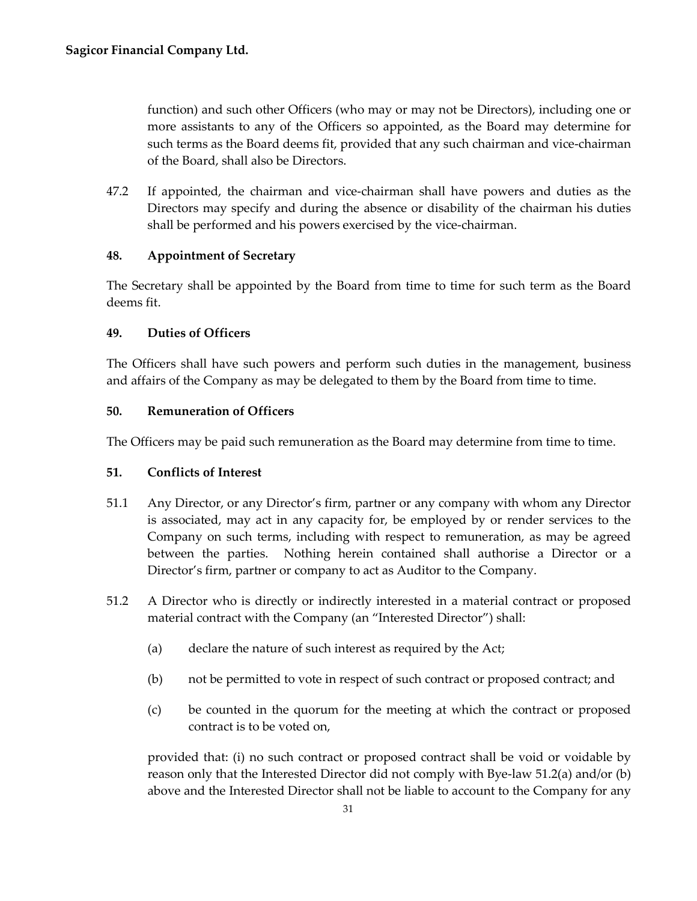function) and such other Officers (who may or may not be Directors), including one or more assistants to any of the Officers so appointed, as the Board may determine for such terms as the Board deems fit, provided that any such chairman and vice-chairman of the Board, shall also be Directors.

47.2 If appointed, the chairman and vice-chairman shall have powers and duties as the Directors may specify and during the absence or disability of the chairman his duties shall be performed and his powers exercised by the vice-chairman.

# <span id="page-34-0"></span>**48. Appointment of Secretary**

The Secretary shall be appointed by the Board from time to time for such term as the Board deems fit.

## <span id="page-34-1"></span>**49. Duties of Officers**

The Officers shall have such powers and perform such duties in the management, business and affairs of the Company as may be delegated to them by the Board from time to time.

# <span id="page-34-2"></span>**50. Remuneration of Officers**

The Officers may be paid such remuneration as the Board may determine from time to time.

## <span id="page-34-3"></span>**51. Conflicts of Interest**

- 51.1 Any Director, or any Director's firm, partner or any company with whom any Director is associated, may act in any capacity for, be employed by or render services to the Company on such terms, including with respect to remuneration, as may be agreed between the parties. Nothing herein contained shall authorise a Director or a Director's firm, partner or company to act as Auditor to the Company.
- 51.2 A Director who is directly or indirectly interested in a material contract or proposed material contract with the Company (an "Interested Director") shall:
	- (a) declare the nature of such interest as required by the Act;
	- (b) not be permitted to vote in respect of such contract or proposed contract; and
	- (c) be counted in the quorum for the meeting at which the contract or proposed contract is to be voted on,

provided that: (i) no such contract or proposed contract shall be void or voidable by reason only that the Interested Director did not comply with Bye-law 51.2(a) and/or (b) above and the Interested Director shall not be liable to account to the Company for any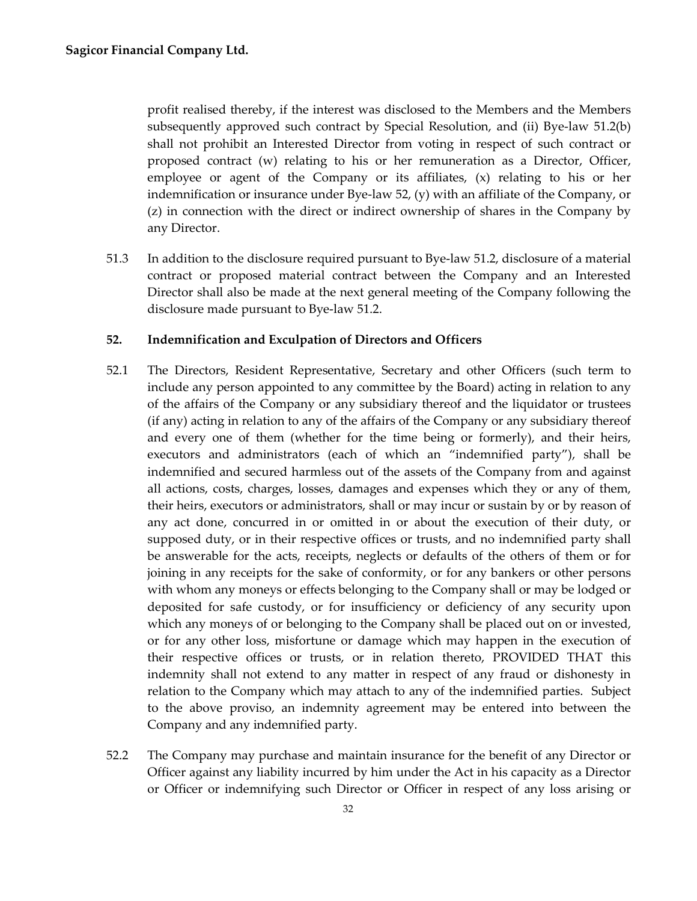profit realised thereby, if the interest was disclosed to the Members and the Members subsequently approved such contract by Special Resolution, and (ii) Bye-law 51.2(b) shall not prohibit an Interested Director from voting in respect of such contract or proposed contract (w) relating to his or her remuneration as a Director, Officer, employee or agent of the Company or its affiliates,  $(x)$  relating to his or her indemnification or insurance under Bye-law 52,  $(y)$  with an affiliate of the Company, or (z) in connection with the direct or indirect ownership of shares in the Company by any Director.

51.3 In addition to the disclosure required pursuant to Bye-law 51.2, disclosure of a material contract or proposed material contract between the Company and an Interested Director shall also be made at the next general meeting of the Company following the disclosure made pursuant to Bye-law 51.2.

#### <span id="page-35-0"></span>**52. Indemnification and Exculpation of Directors and Officers**

- 52.1 The Directors, Resident Representative, Secretary and other Officers (such term to include any person appointed to any committee by the Board) acting in relation to any of the affairs of the Company or any subsidiary thereof and the liquidator or trustees (if any) acting in relation to any of the affairs of the Company or any subsidiary thereof and every one of them (whether for the time being or formerly), and their heirs, executors and administrators (each of which an "indemnified party"), shall be indemnified and secured harmless out of the assets of the Company from and against all actions, costs, charges, losses, damages and expenses which they or any of them, their heirs, executors or administrators, shall or may incur or sustain by or by reason of any act done, concurred in or omitted in or about the execution of their duty, or supposed duty, or in their respective offices or trusts, and no indemnified party shall be answerable for the acts, receipts, neglects or defaults of the others of them or for joining in any receipts for the sake of conformity, or for any bankers or other persons with whom any moneys or effects belonging to the Company shall or may be lodged or deposited for safe custody, or for insufficiency or deficiency of any security upon which any moneys of or belonging to the Company shall be placed out on or invested, or for any other loss, misfortune or damage which may happen in the execution of their respective offices or trusts, or in relation thereto, PROVIDED THAT this indemnity shall not extend to any matter in respect of any fraud or dishonesty in relation to the Company which may attach to any of the indemnified parties. Subject to the above proviso, an indemnity agreement may be entered into between the Company and any indemnified party.
- 52.2 The Company may purchase and maintain insurance for the benefit of any Director or Officer against any liability incurred by him under the Act in his capacity as a Director or Officer or indemnifying such Director or Officer in respect of any loss arising or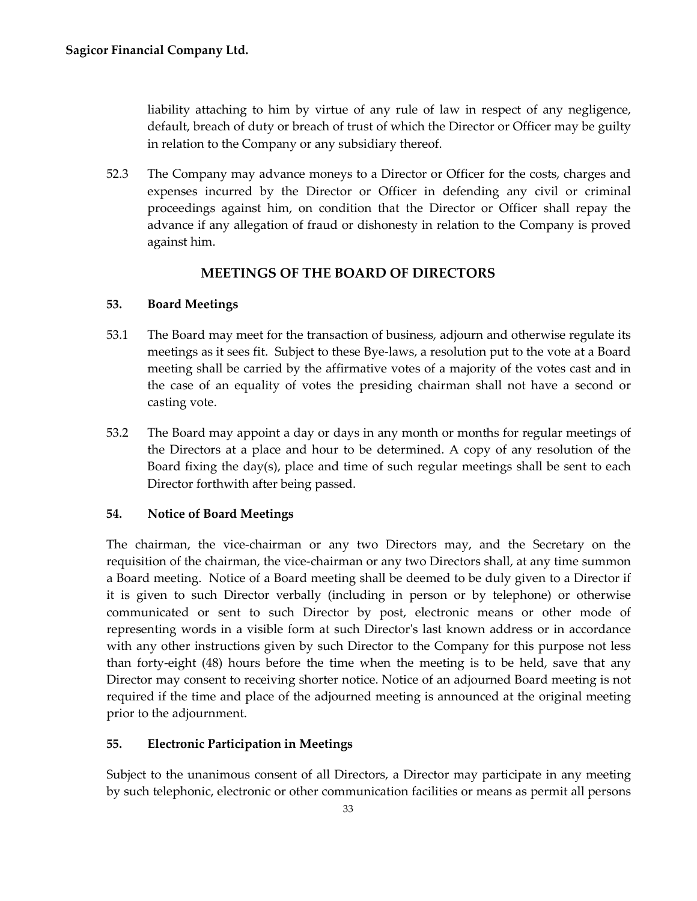liability attaching to him by virtue of any rule of law in respect of any negligence, default, breach of duty or breach of trust of which the Director or Officer may be guilty in relation to the Company or any subsidiary thereof.

52.3 The Company may advance moneys to a Director or Officer for the costs, charges and expenses incurred by the Director or Officer in defending any civil or criminal proceedings against him, on condition that the Director or Officer shall repay the advance if any allegation of fraud or dishonesty in relation to the Company is proved against him.

# **MEETINGS OF THE BOARD OF DIRECTORS**

# <span id="page-36-1"></span><span id="page-36-0"></span>**53. Board Meetings**

- 53.1 The Board may meet for the transaction of business, adjourn and otherwise regulate its meetings as it sees fit. Subject to these Bye-laws, a resolution put to the vote at a Board meeting shall be carried by the affirmative votes of a majority of the votes cast and in the case of an equality of votes the presiding chairman shall not have a second or casting vote.
- 53.2 The Board may appoint a day or days in any month or months for regular meetings of the Directors at a place and hour to be determined. A copy of any resolution of the Board fixing the day(s), place and time of such regular meetings shall be sent to each Director forthwith after being passed.

# <span id="page-36-2"></span>**54. Notice of Board Meetings**

The chairman, the vice-chairman or any two Directors may, and the Secretary on the requisition of the chairman, the vice-chairman or any two Directors shall, at any time summon a Board meeting. Notice of a Board meeting shall be deemed to be duly given to a Director if it is given to such Director verbally (including in person or by telephone) or otherwise communicated or sent to such Director by post, electronic means or other mode of representing words in a visible form at such Director's last known address or in accordance with any other instructions given by such Director to the Company for this purpose not less than forty-eight (48) hours before the time when the meeting is to be held, save that any Director may consent to receiving shorter notice. Notice of an adjourned Board meeting is not required if the time and place of the adjourned meeting is announced at the original meeting prior to the adjournment.

# <span id="page-36-3"></span>**55. Electronic Participation in Meetings**

Subject to the unanimous consent of all Directors, a Director may participate in any meeting by such telephonic, electronic or other communication facilities or means as permit all persons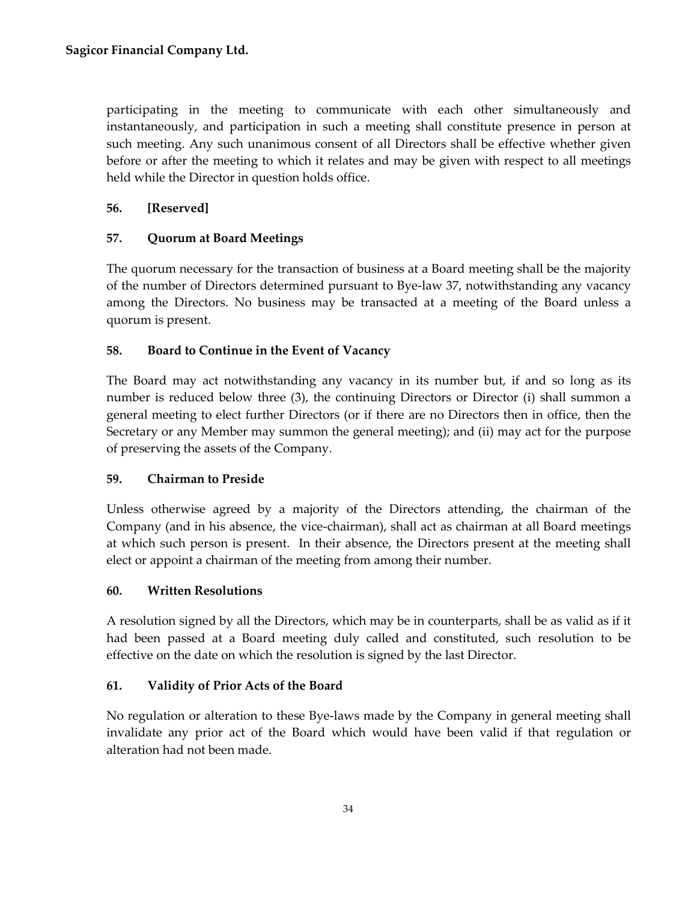participating in the meeting to communicate with each other simultaneously and instantaneously, and participation in such a meeting shall constitute presence in person at such meeting. Any such unanimous consent of all Directors shall be effective whether given before or after the meeting to which it relates and may be given with respect to all meetings held while the Director in question holds office.

# <span id="page-37-0"></span>**56. [Reserved]**

# <span id="page-37-1"></span>**57. Quorum at Board Meetings**

The quorum necessary for the transaction of business at a Board meeting shall be the majority of the number of Directors determined pursuant to Bye-law 37, notwithstanding any vacancy among the Directors. No business may be transacted at a meeting of the Board unless a quorum is present.

# <span id="page-37-2"></span>**58. Board to Continue in the Event of Vacancy**

The Board may act notwithstanding any vacancy in its number but, if and so long as its number is reduced below three (3), the continuing Directors or Director (i) shall summon a general meeting to elect further Directors (or if there are no Directors then in office, then the Secretary or any Member may summon the general meeting); and (ii) may act for the purpose of preserving the assets of the Company.

## <span id="page-37-3"></span>**59. Chairman to Preside**

Unless otherwise agreed by a majority of the Directors attending, the chairman of the Company (and in his absence, the vice-chairman), shall act as chairman at all Board meetings at which such person is present. In their absence, the Directors present at the meeting shall elect or appoint a chairman of the meeting from among their number.

## <span id="page-37-4"></span>**60. Written Resolutions**

A resolution signed by all the Directors, which may be in counterparts, shall be as valid as if it had been passed at a Board meeting duly called and constituted, such resolution to be effective on the date on which the resolution is signed by the last Director.

# <span id="page-37-5"></span>**61. Validity of Prior Acts of the Board**

No regulation or alteration to these Bye-laws made by the Company in general meeting shall invalidate any prior act of the Board which would have been valid if that regulation or alteration had not been made.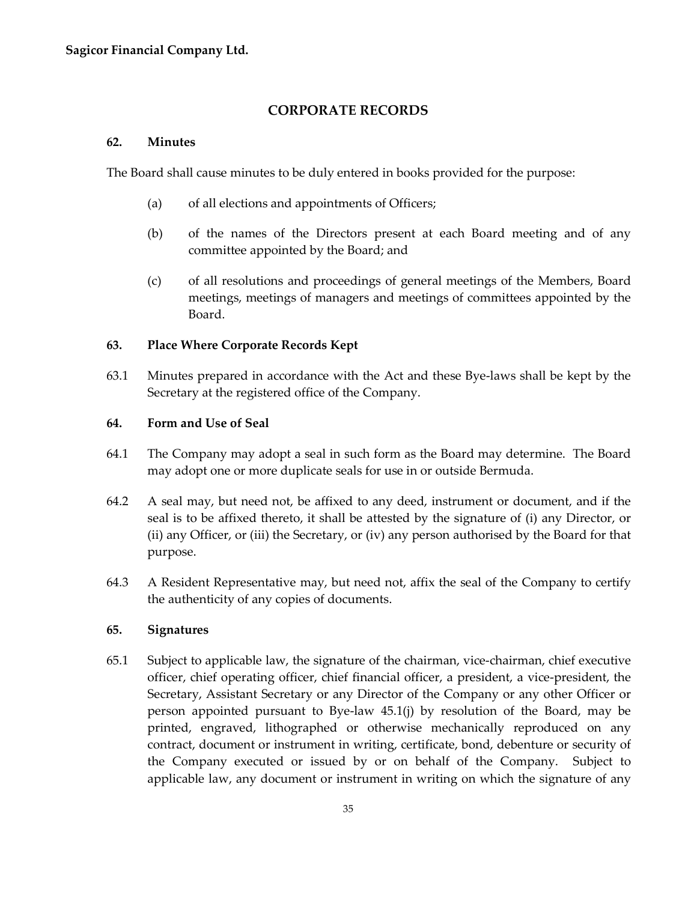# **CORPORATE RECORDS**

#### <span id="page-38-1"></span><span id="page-38-0"></span>**62. Minutes**

The Board shall cause minutes to be duly entered in books provided for the purpose:

- (a) of all elections and appointments of Officers;
- (b) of the names of the Directors present at each Board meeting and of any committee appointed by the Board; and
- (c) of all resolutions and proceedings of general meetings of the Members, Board meetings, meetings of managers and meetings of committees appointed by the Board.

## <span id="page-38-2"></span>**63. Place Where Corporate Records Kept**

63.1 Minutes prepared in accordance with the Act and these Bye-laws shall be kept by the Secretary at the registered office of the Company.

## <span id="page-38-3"></span>**64. Form and Use of Seal**

- 64.1 The Company may adopt a seal in such form as the Board may determine. The Board may adopt one or more duplicate seals for use in or outside Bermuda.
- 64.2 A seal may, but need not, be affixed to any deed, instrument or document, and if the seal is to be affixed thereto, it shall be attested by the signature of (i) any Director, or (ii) any Officer, or (iii) the Secretary, or (iv) any person authorised by the Board for that purpose.
- 64.3 A Resident Representative may, but need not, affix the seal of the Company to certify the authenticity of any copies of documents.

## <span id="page-38-4"></span>**65. Signatures**

65.1 Subject to applicable law, the signature of the chairman, vice-chairman, chief executive officer, chief operating officer, chief financial officer, a president, a vice-president, the Secretary, Assistant Secretary or any Director of the Company or any other Officer or person appointed pursuant to Bye-law 45.1(j) by resolution of the Board, may be printed, engraved, lithographed or otherwise mechanically reproduced on any contract, document or instrument in writing, certificate, bond, debenture or security of the Company executed or issued by or on behalf of the Company. Subject to applicable law, any document or instrument in writing on which the signature of any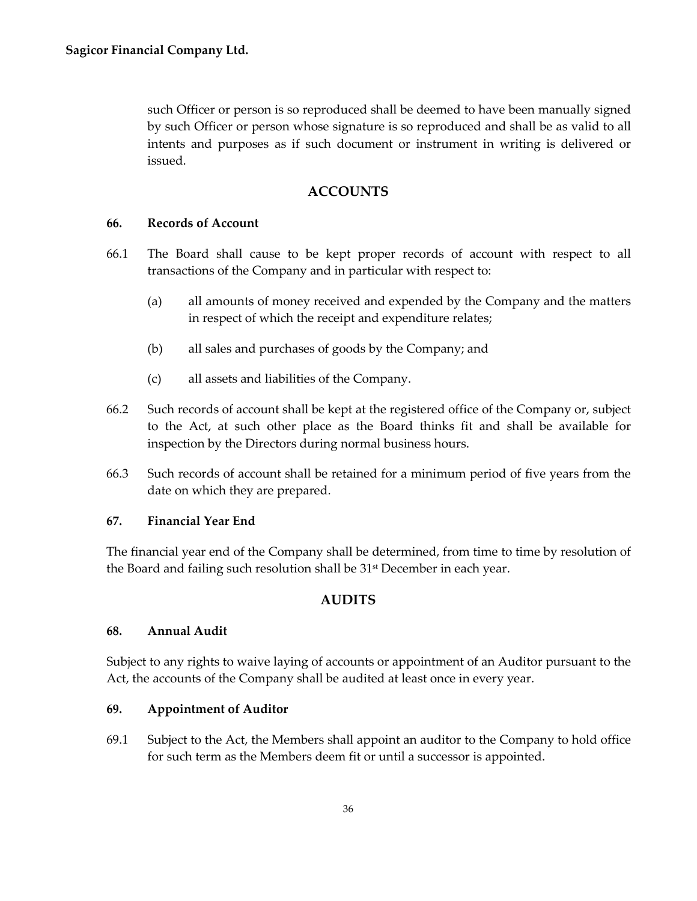such Officer or person is so reproduced shall be deemed to have been manually signed by such Officer or person whose signature is so reproduced and shall be as valid to all intents and purposes as if such document or instrument in writing is delivered or issued.

# **ACCOUNTS**

#### <span id="page-39-1"></span><span id="page-39-0"></span>**66. Records of Account**

- 66.1 The Board shall cause to be kept proper records of account with respect to all transactions of the Company and in particular with respect to:
	- (a) all amounts of money received and expended by the Company and the matters in respect of which the receipt and expenditure relates;
	- (b) all sales and purchases of goods by the Company; and
	- (c) all assets and liabilities of the Company.
- 66.2 Such records of account shall be kept at the registered office of the Company or, subject to the Act, at such other place as the Board thinks fit and shall be available for inspection by the Directors during normal business hours.
- 66.3 Such records of account shall be retained for a minimum period of five years from the date on which they are prepared.

## <span id="page-39-2"></span>**67. Financial Year End**

The financial year end of the Company shall be determined, from time to time by resolution of the Board and failing such resolution shall be 31<sup>st</sup> December in each year.

# **AUDITS**

## <span id="page-39-4"></span><span id="page-39-3"></span>**68. Annual Audit**

Subject to any rights to waive laying of accounts or appointment of an Auditor pursuant to the Act, the accounts of the Company shall be audited at least once in every year.

## <span id="page-39-5"></span>**69. Appointment of Auditor**

69.1 Subject to the Act, the Members shall appoint an auditor to the Company to hold office for such term as the Members deem fit or until a successor is appointed.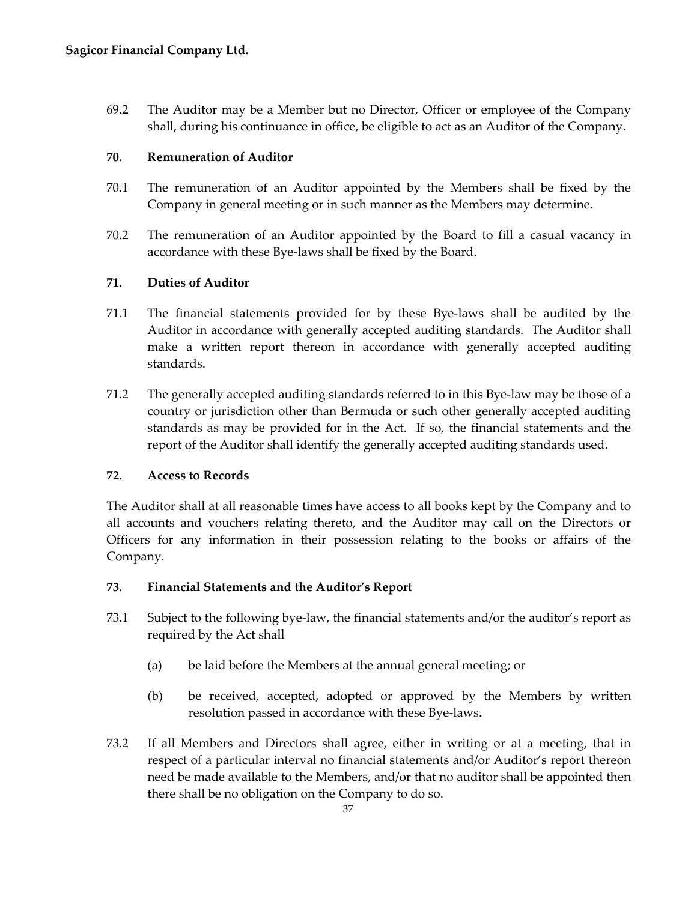69.2 The Auditor may be a Member but no Director, Officer or employee of the Company shall, during his continuance in office, be eligible to act as an Auditor of the Company.

# <span id="page-40-0"></span>**70. Remuneration of Auditor**

- 70.1 The remuneration of an Auditor appointed by the Members shall be fixed by the Company in general meeting or in such manner as the Members may determine.
- 70.2 The remuneration of an Auditor appointed by the Board to fill a casual vacancy in accordance with these Bye-laws shall be fixed by the Board.

# <span id="page-40-1"></span>**71. Duties of Auditor**

- 71.1 The financial statements provided for by these Bye-laws shall be audited by the Auditor in accordance with generally accepted auditing standards. The Auditor shall make a written report thereon in accordance with generally accepted auditing standards.
- 71.2 The generally accepted auditing standards referred to in this Bye-law may be those of a country or jurisdiction other than Bermuda or such other generally accepted auditing standards as may be provided for in the Act. If so, the financial statements and the report of the Auditor shall identify the generally accepted auditing standards used.

# <span id="page-40-2"></span>**72. Access to Records**

The Auditor shall at all reasonable times have access to all books kept by the Company and to all accounts and vouchers relating thereto, and the Auditor may call on the Directors or Officers for any information in their possession relating to the books or affairs of the Company.

## <span id="page-40-3"></span>**73. Financial Statements and the Auditor's Report**

- 73.1 Subject to the following bye-law, the financial statements and/or the auditor's report as required by the Act shall
	- (a) be laid before the Members at the annual general meeting; or
	- (b) be received, accepted, adopted or approved by the Members by written resolution passed in accordance with these Bye-laws.
- 73.2 If all Members and Directors shall agree, either in writing or at a meeting, that in respect of a particular interval no financial statements and/or Auditor's report thereon need be made available to the Members, and/or that no auditor shall be appointed then there shall be no obligation on the Company to do so.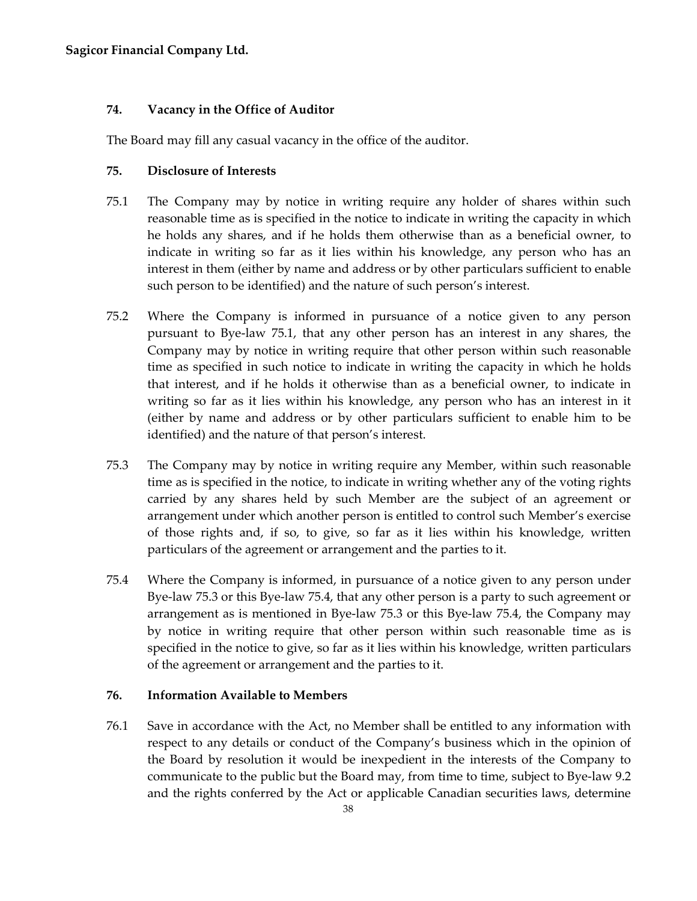## <span id="page-41-0"></span>**74. Vacancy in the Office of Auditor**

The Board may fill any casual vacancy in the office of the auditor.

#### <span id="page-41-1"></span>**75. Disclosure of Interests**

- 75.1 The Company may by notice in writing require any holder of shares within such reasonable time as is specified in the notice to indicate in writing the capacity in which he holds any shares, and if he holds them otherwise than as a beneficial owner, to indicate in writing so far as it lies within his knowledge, any person who has an interest in them (either by name and address or by other particulars sufficient to enable such person to be identified) and the nature of such person's interest.
- 75.2 Where the Company is informed in pursuance of a notice given to any person pursuant to Bye-law 75.1, that any other person has an interest in any shares, the Company may by notice in writing require that other person within such reasonable time as specified in such notice to indicate in writing the capacity in which he holds that interest, and if he holds it otherwise than as a beneficial owner, to indicate in writing so far as it lies within his knowledge, any person who has an interest in it (either by name and address or by other particulars sufficient to enable him to be identified) and the nature of that person's interest.
- 75.3 The Company may by notice in writing require any Member, within such reasonable time as is specified in the notice, to indicate in writing whether any of the voting rights carried by any shares held by such Member are the subject of an agreement or arrangement under which another person is entitled to control such Member's exercise of those rights and, if so, to give, so far as it lies within his knowledge, written particulars of the agreement or arrangement and the parties to it.
- 75.4 Where the Company is informed, in pursuance of a notice given to any person under Bye-law 75.3 or this Bye-law 75.4, that any other person is a party to such agreement or arrangement as is mentioned in Bye-law 75.3 or this Bye-law 75.4, the Company may by notice in writing require that other person within such reasonable time as is specified in the notice to give, so far as it lies within his knowledge, written particulars of the agreement or arrangement and the parties to it.

## <span id="page-41-2"></span>**76. Information Available to Members**

76.1 Save in accordance with the Act, no Member shall be entitled to any information with respect to any details or conduct of the Company's business which in the opinion of the Board by resolution it would be inexpedient in the interests of the Company to communicate to the public but the Board may, from time to time, subject to Bye-law 9.2 and the rights conferred by the Act or applicable Canadian securities laws, determine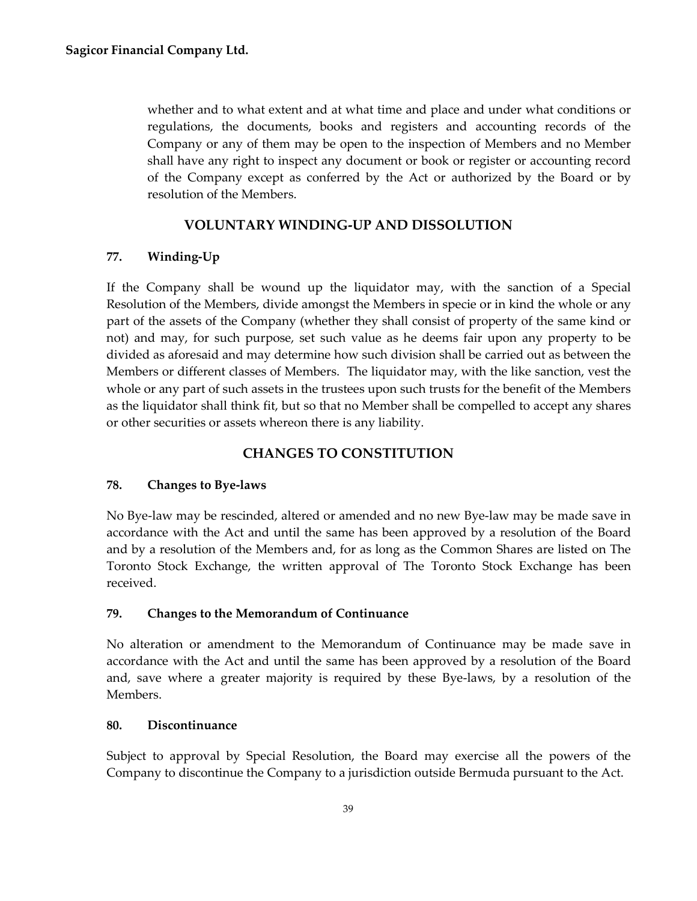whether and to what extent and at what time and place and under what conditions or regulations, the documents, books and registers and accounting records of the Company or any of them may be open to the inspection of Members and no Member shall have any right to inspect any document or book or register or accounting record of the Company except as conferred by the Act or authorized by the Board or by resolution of the Members.

# **VOLUNTARY WINDING-UP AND DISSOLUTION**

# <span id="page-42-1"></span><span id="page-42-0"></span>**77. Winding-Up**

If the Company shall be wound up the liquidator may, with the sanction of a Special Resolution of the Members, divide amongst the Members in specie or in kind the whole or any part of the assets of the Company (whether they shall consist of property of the same kind or not) and may, for such purpose, set such value as he deems fair upon any property to be divided as aforesaid and may determine how such division shall be carried out as between the Members or different classes of Members. The liquidator may, with the like sanction, vest the whole or any part of such assets in the trustees upon such trusts for the benefit of the Members as the liquidator shall think fit, but so that no Member shall be compelled to accept any shares or other securities or assets whereon there is any liability.

# **CHANGES TO CONSTITUTION**

## <span id="page-42-3"></span><span id="page-42-2"></span>**78. Changes to Bye-laws**

No Bye-law may be rescinded, altered or amended and no new Bye-law may be made save in accordance with the Act and until the same has been approved by a resolution of the Board and by a resolution of the Members and, for as long as the Common Shares are listed on The Toronto Stock Exchange, the written approval of The Toronto Stock Exchange has been received.

## <span id="page-42-4"></span>**79. Changes to the Memorandum of Continuance**

No alteration or amendment to the Memorandum of Continuance may be made save in accordance with the Act and until the same has been approved by a resolution of the Board and, save where a greater majority is required by these Bye-laws, by a resolution of the Members.

## <span id="page-42-5"></span>**80. Discontinuance**

Subject to approval by Special Resolution, the Board may exercise all the powers of the Company to discontinue the Company to a jurisdiction outside Bermuda pursuant to the Act.